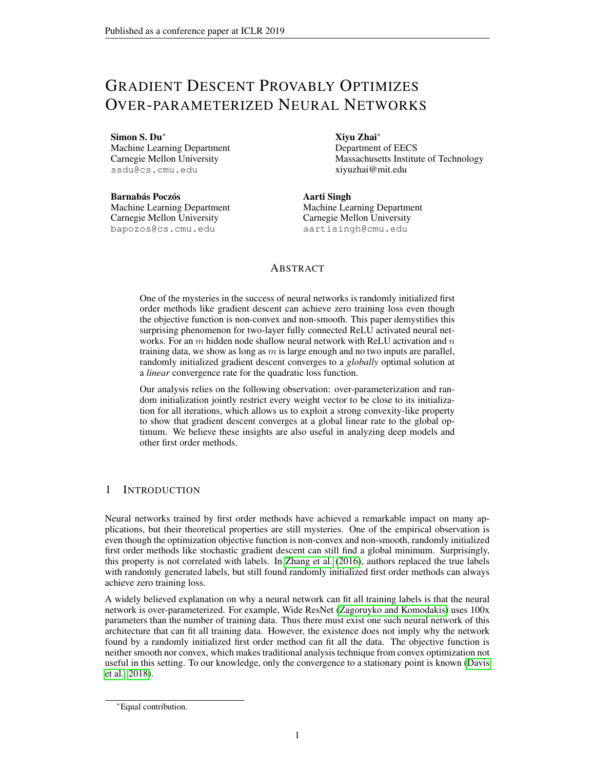# GRADIENT DESCENT PROVABLY OPTIMIZES OVER-PARAMETERIZED NEURAL NETWORKS

Simon S. Du<sup>∗</sup>

Machine Learning Department Carnegie Mellon University ssdu@cs.cmu.edu

Barnabás Poczós Machine Learning Department Carnegie Mellon University bapozos@cs.cmu.edu

Xiyu Zhai<sup>∗</sup>

Department of EECS Massachusetts Institute of Technology xiyuzhai@mit.edu

Aarti Singh Machine Learning Department Carnegie Mellon University aartisingh@cmu.edu

# ABSTRACT

One of the mysteries in the success of neural networks is randomly initialized first order methods like gradient descent can achieve zero training loss even though the objective function is non-convex and non-smooth. This paper demystifies this surprising phenomenon for two-layer fully connected ReLU activated neural networks. For an  $m$  hidden node shallow neural network with ReLU activation and  $n$ training data, we show as long as  $m$  is large enough and no two inputs are parallel, randomly initialized gradient descent converges to a *globally* optimal solution at a *linear* convergence rate for the quadratic loss function.

Our analysis relies on the following observation: over-parameterization and random initialization jointly restrict every weight vector to be close to its initialization for all iterations, which allows us to exploit a strong convexity-like property to show that gradient descent converges at a global linear rate to the global optimum. We believe these insights are also useful in analyzing deep models and other first order methods.

# <span id="page-0-0"></span>1 INTRODUCTION

Neural networks trained by first order methods have achieved a remarkable impact on many applications, but their theoretical properties are still mysteries. One of the empirical observation is even though the optimization objective function is non-convex and non-smooth, randomly initialized first order methods like stochastic gradient descent can still find a global minimum. Surprisingly, this property is not correlated with labels. In [Zhang et al.](#page-12-0) [\(2016\)](#page-12-0), authors replaced the true labels with randomly generated labels, but still found randomly initialized first order methods can always achieve zero training loss.

A widely believed explanation on why a neural network can fit all training labels is that the neural network is over-parameterized. For example, Wide ResNet [\(Zagoruyko and Komodakis\)](#page-12-1) uses 100x parameters than the number of training data. Thus there must exist one such neural network of this architecture that can fit all training data. However, the existence does not imply why the network found by a randomly initialized first order method can fit all the data. The objective function is neither smooth nor convex, which makes traditional analysis technique from convex optimization not useful in this setting. To our knowledge, only the convergence to a stationary point is known [\(Davis](#page-10-0) [et al., 2018\)](#page-10-0).

<sup>∗</sup>Equal contribution.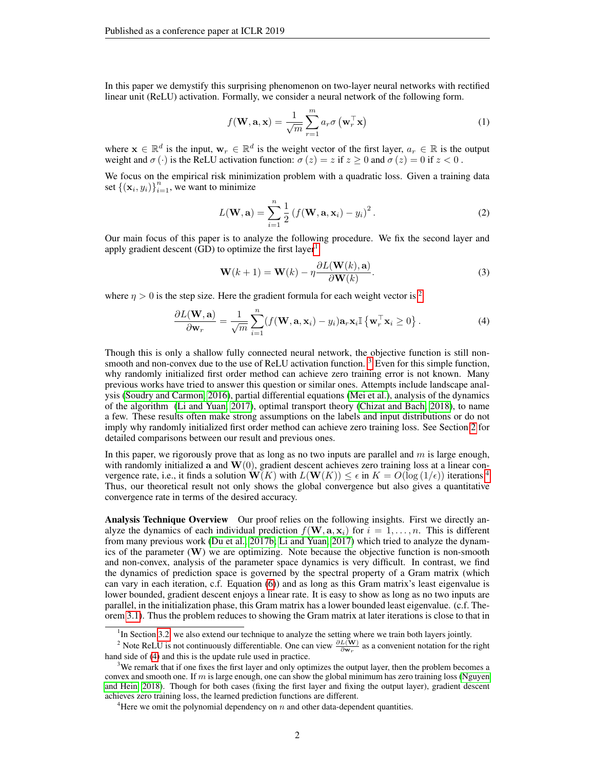In this paper we demystify this surprising phenomenon on two-layer neural networks with rectified linear unit (ReLU) activation. Formally, we consider a neural network of the following form.

$$
f(\mathbf{W}, \mathbf{a}, \mathbf{x}) = \frac{1}{\sqrt{m}} \sum_{r=1}^{m} a_r \sigma\left(\mathbf{w}_r^\top \mathbf{x}\right)
$$
(1)

where  $\mathbf{x} \in \mathbb{R}^d$  is the input,  $\mathbf{w}_r \in \mathbb{R}^d$  is the weight vector of the first layer,  $a_r \in \mathbb{R}$  is the output weight and  $\sigma(\cdot)$  is the ReLU activation function:  $\sigma(z) = z$  if  $z \ge 0$  and  $\sigma(z) = 0$  if  $z < 0$ .

We focus on the empirical risk minimization problem with a quadratic loss. Given a training data set  $\{(\mathbf{x}_i, y_i)\}_{i=1}^n$ , we want to minimize

<span id="page-1-5"></span>
$$
L(\mathbf{W}, \mathbf{a}) = \sum_{i=1}^{n} \frac{1}{2} \left( f(\mathbf{W}, \mathbf{a}, \mathbf{x}_i) - y_i \right)^2.
$$
 (2)

Our main focus of this paper is to analyze the following procedure. We fix the second layer and apply gradient descent  $(GD)$  to optimize the first layer<sup>[1](#page-1-0)</sup>

<span id="page-1-4"></span>
$$
\mathbf{W}(k+1) = \mathbf{W}(k) - \eta \frac{\partial L(\mathbf{W}(k), \mathbf{a})}{\partial \mathbf{W}(k)}.
$$
 (3)

where  $\eta > 0$  is the step size. Here the gradient formula for each weight vector is <sup>[2](#page-1-1)</sup>

$$
\frac{\partial L(\mathbf{W}, \mathbf{a})}{\partial \mathbf{w}_r} = \frac{1}{\sqrt{m}} \sum_{i=1}^n (f(\mathbf{W}, \mathbf{a}, \mathbf{x}_i) - y_i) \mathbf{a}_r \mathbf{x}_i \mathbb{I} \left\{ \mathbf{w}_r^\top \mathbf{x}_i \ge 0 \right\}.
$$
 (4)

Though this is only a shallow fully connected neural network, the objective function is still non-smooth and non-convex due to the use of ReLU activation function.<sup>[3](#page-1-2)</sup> Even for this simple function, why randomly initialized first order method can achieve zero training error is not known. Many previous works have tried to answer this question or similar ones. Attempts include landscape analysis [\(Soudry and Carmon, 2016\)](#page-11-0), partial differential equations [\(Mei et al.\)](#page-11-1), analysis of the dynamics of the algorithm [\(Li and Yuan, 2017\)](#page-11-2), optimal transport theory [\(Chizat and Bach, 2018\)](#page-10-1), to name a few. These results often make strong assumptions on the labels and input distributions or do not imply why randomly initialized first order method can achieve zero training loss. See Section [2](#page-2-0) for detailed comparisons between our result and previous ones.

In this paper, we rigorously prove that as long as no two inputs are parallel and  $m$  is large enough, with randomly initialized a and  $\mathbf{W}(0)$ , gradient descent achieves zero training loss at a linear convergence rate, i.e., it finds a solution  $\mathbf{W}(K)$  with  $L(\mathbf{W}(K)) \leq \epsilon$  in  $K = O(\log(1/\epsilon))$  iterations.<sup>[4](#page-1-3)</sup> Thus, our theoretical result not only shows the global convergence but also gives a quantitative convergence rate in terms of the desired accuracy.

Analysis Technique Overview Our proof relies on the following insights. First we directly analyze the dynamics of each individual prediction  $f(\mathbf{W}, \mathbf{a}, \mathbf{x}_i)$  for  $i = 1, \dots, n$ . This is different from many previous work [\(Du et al., 2017b;](#page-10-2) [Li and Yuan, 2017\)](#page-11-2) which tried to analyze the dynamics of the parameter  $(\mathbf{W})$  we are optimizing. Note because the objective function is non-smooth and non-convex, analysis of the parameter space dynamics is very difficult. In contrast, we find the dynamics of prediction space is governed by the spectral property of a Gram matrix (which can vary in each iteration, c.f. Equation [\(6\)](#page-4-0)) and as long as this Gram matrix's least eigenvalue is lower bounded, gradient descent enjoys a linear rate. It is easy to show as long as no two inputs are parallel, in the initialization phase, this Gram matrix has a lower bounded least eigenvalue. (c.f. Theorem [3.1\)](#page-4-1). Thus the problem reduces to showing the Gram matrix at later iterations is close to that in

<span id="page-1-1"></span><span id="page-1-0"></span><sup>&</sup>lt;sup>1</sup>In Section [3.2,](#page-6-0) we also extend our technique to analyze the setting where we train both layers jointly.

<sup>&</sup>lt;sup>2</sup> Note ReLU is not continuously differentiable. One can view  $\frac{\partial L(\mathbf{W})}{\partial \mathbf{w}_r}$  as a convenient notation for the right hand side of [\(4\)](#page-1-4) and this is the update rule used in practice.

<span id="page-1-2"></span><sup>&</sup>lt;sup>3</sup>We remark that if one fixes the first layer and only optimizes the output layer, then the problem becomes a convex and smooth one. If m is large enough, one can show the global minimum has zero training loss [\(Nguyen](#page-11-3) [and Hein, 2018\)](#page-11-3). Though for both cases (fixing the first layer and fixing the output layer), gradient descent achieves zero training loss, the learned prediction functions are different.

<span id="page-1-3"></span><sup>&</sup>lt;sup>4</sup>Here we omit the polynomial dependency on  $n$  and other data-dependent quantities.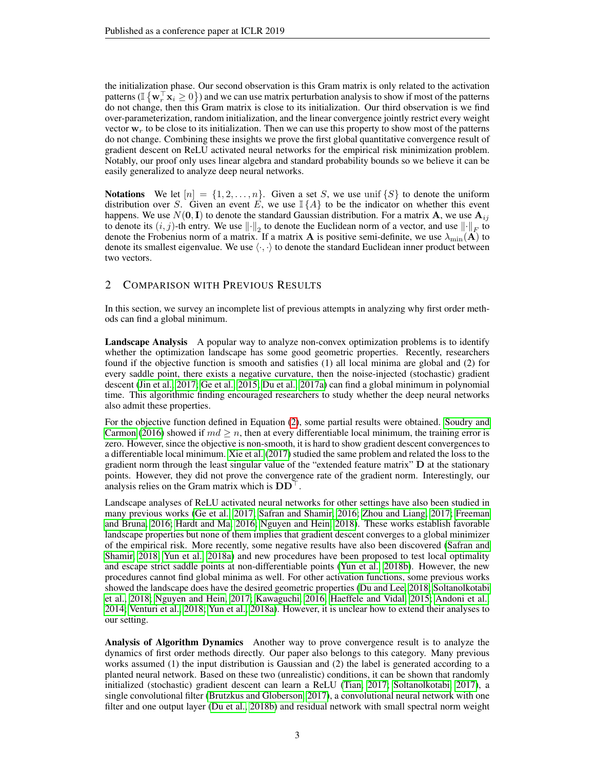the initialization phase. Our second observation is this Gram matrix is only related to the activation patterns ( $\mathbb{I} \{ \mathbf{w}_r^{\top} \mathbf{x}_i \geq 0 \}$ ) and we can use matrix perturbation analysis to show if most of the patterns do not change, then this Gram matrix is close to its initialization. Our third observation is we find over-parameterization, random initialization, and the linear convergence jointly restrict every weight vector  $w_r$  to be close to its initialization. Then we can use this property to show most of the patterns do not change. Combining these insights we prove the first global quantitative convergence result of gradient descent on ReLU activated neural networks for the empirical risk minimization problem. Notably, our proof only uses linear algebra and standard probability bounds so we believe it can be easily generalized to analyze deep neural networks.

**Notations** We let  $[n] = \{1, 2, ..., n\}$ . Given a set S, we use unif  $\{S\}$  to denote the uniform distribution over S. Given an event E, we use  $\mathbb{I}\{\hat{A}\}\$  to be the indicator on whether this event happens. We use  $N(0, I)$  to denote the standard Gaussian distribution. For a matrix **A**, we use  $\mathbf{A}_{ij}$ to denote its  $(i, j)$ -th entry. We use  $\|\cdot\|_2$  to denote the Euclidean norm of a vector, and use  $\|\cdot\|_F$  to denote the Frobenius norm of a matrix. If a matrix A is positive semi-definite, we use  $\lambda_{\min}(A)$  to denote its smallest eigenvalue. We use  $\langle \cdot, \cdot \rangle$  to denote the standard Euclidean inner product between two vectors.

## <span id="page-2-0"></span>2 COMPARISON WITH PREVIOUS RESULTS

In this section, we survey an incomplete list of previous attempts in analyzing why first order methods can find a global minimum.

Landscape Analysis A popular way to analyze non-convex optimization problems is to identify whether the optimization landscape has some good geometric properties. Recently, researchers found if the objective function is smooth and satisfies (1) all local minima are global and (2) for every saddle point, there exists a negative curvature, then the noise-injected (stochastic) gradient descent [\(Jin et al., 2017;](#page-11-4) [Ge et al., 2015;](#page-11-5) [Du et al., 2017a\)](#page-10-3) can find a global minimum in polynomial time. This algorithmic finding encouraged researchers to study whether the deep neural networks also admit these properties.

For the objective function defined in Equation [\(2\)](#page-1-5), some partial results were obtained. [Soudry and](#page-11-0) [Carmon](#page-11-0) [\(2016\)](#page-11-0) showed if  $md \geq n$ , then at every differentiable local minimum, the training error is zero. However, since the objective is non-smooth, it is hard to show gradient descent convergences to a differentiable local minimum. [Xie et al.](#page-12-2) [\(2017\)](#page-12-2) studied the same problem and related the loss to the gradient norm through the least singular value of the "extended feature matrix" D at the stationary points. However, they did not prove the convergence rate of the gradient norm. Interestingly, our analysis relies on the Gram matrix which is  $DD^{\top}$ .

Landscape analyses of ReLU activated neural networks for other settings have also been studied in many previous works [\(Ge et al., 2017;](#page-11-6) [Safran and Shamir, 2016;](#page-11-7) [Zhou and Liang, 2017;](#page-12-3) [Freeman](#page-11-8) [and Bruna, 2016;](#page-11-8) [Hardt and Ma, 2016;](#page-11-9) [Nguyen and Hein, 2018\)](#page-11-3). These works establish favorable landscape properties but none of them implies that gradient descent converges to a global minimizer of the empirical risk. More recently, some negative results have also been discovered [\(Safran and](#page-11-10) [Shamir, 2018;](#page-11-10) [Yun et al., 2018a\)](#page-12-4) and new procedures have been proposed to test local optimality and escape strict saddle points at non-differentiable points [\(Yun et al., 2018b\)](#page-12-5). However, the new procedures cannot find global minima as well. For other activation functions, some previous works showed the landscape does have the desired geometric properties [\(Du and Lee, 2018;](#page-10-4) [Soltanolkotabi](#page-11-11) [et al., 2018;](#page-11-11) [Nguyen and Hein, 2017;](#page-11-12) [Kawaguchi, 2016;](#page-11-13) [Haeffele and Vidal, 2015;](#page-11-14) [Andoni et al.,](#page-10-5) [2014;](#page-10-5) [Venturi et al., 2018;](#page-12-6) [Yun et al., 2018a\)](#page-12-4). However, it is unclear how to extend their analyses to our setting.

Analysis of Algorithm Dynamics Another way to prove convergence result is to analyze the dynamics of first order methods directly. Our paper also belongs to this category. Many previous works assumed (1) the input distribution is Gaussian and (2) the label is generated according to a planted neural network. Based on these two (unrealistic) conditions, it can be shown that randomly initialized (stochastic) gradient descent can learn a ReLU [\(Tian, 2017;](#page-11-15) [Soltanolkotabi, 2017\)](#page-11-16), a single convolutional filter [\(Brutzkus and Globerson, 2017\)](#page-10-6), a convolutional neural network with one filter and one output layer [\(Du et al., 2018b\)](#page-11-17) and residual network with small spectral norm weight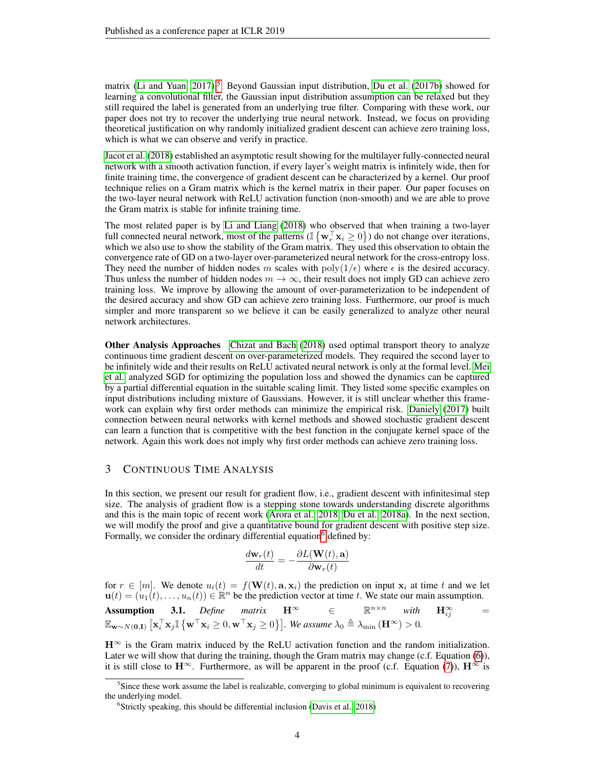matrix [\(Li and Yuan, 2017\)](#page-11-2).<sup>[5](#page-3-0)</sup> Beyond Gaussian input distribution, [Du et al.](#page-10-2) [\(2017b\)](#page-10-2) showed for learning a convolutional filter, the Gaussian input distribution assumption can be relaxed but they still required the label is generated from an underlying true filter. Comparing with these work, our paper does not try to recover the underlying true neural network. Instead, we focus on providing theoretical justification on why randomly initialized gradient descent can achieve zero training loss, which is what we can observe and verify in practice.

[Jacot et al.](#page-11-18) [\(2018\)](#page-11-18) established an asymptotic result showing for the multilayer fully-connected neural network with a smooth activation function, if every layer's weight matrix is infinitely wide, then for finite training time, the convergence of gradient descent can be characterized by a kernel. Our proof technique relies on a Gram matrix which is the kernel matrix in their paper. Our paper focuses on the two-layer neural network with ReLU activation function (non-smooth) and we are able to prove the Gram matrix is stable for infinite training time.

The most related paper is by [Li and Liang](#page-11-19) [\(2018\)](#page-11-19) who observed that when training a two-layer full connected neural network, most of the patterns ( $\mathbb{I} \{ \mathbf{w}_r^{\top} \mathbf{x}_i \ge 0 \}$ ) do not change over iterations, which we also use to show the stability of the Gram matrix. They used this observation to obtain the convergence rate of GD on a two-layer over-parameterized neural network for the cross-entropy loss. They need the number of hidden nodes m scales with  $poly(1/\epsilon)$  where  $\epsilon$  is the desired accuracy. Thus unless the number of hidden nodes  $m \to \infty$ , their result does not imply GD can achieve zero training loss. We improve by allowing the amount of over-parameterization to be independent of the desired accuracy and show GD can achieve zero training loss. Furthermore, our proof is much simpler and more transparent so we believe it can be easily generalized to analyze other neural network architectures.

Other Analysis Approaches [Chizat and Bach](#page-10-1) [\(2018\)](#page-10-1) used optimal transport theory to analyze continuous time gradient descent on over-parameterized models. They required the second layer to be infinitely wide and their results on ReLU activated neural network is only at the formal level. [Mei](#page-11-1) [et al.](#page-11-1) analyzed SGD for optimizing the population loss and showed the dynamics can be captured by a partial differential equation in the suitable scaling limit. They listed some specific examples on input distributions including mixture of Gaussians. However, it is still unclear whether this framework can explain why first order methods can minimize the empirical risk. [Daniely](#page-10-7) [\(2017\)](#page-10-7) built connection between neural networks with kernel methods and showed stochastic gradient descent can learn a function that is competitive with the best function in the conjugate kernel space of the network. Again this work does not imply why first order methods can achieve zero training loss.

## <span id="page-3-3"></span>3 CONTINUOUS TIME ANALYSIS

In this section, we present our result for gradient flow, i.e., gradient descent with infinitesimal step size. The analysis of gradient flow is a stepping stone towards understanding discrete algorithms and this is the main topic of recent work [\(Arora et al., 2018;](#page-10-8) [Du et al., 2018a\)](#page-10-9). In the next section, we will modify the proof and give a quantitative bound for gradient descent with positive step size. Formally, we consider the ordinary differential equation $\delta$  defined by:

$$
\frac{d\mathbf{w}_r(t)}{dt} = -\frac{\partial L(\mathbf{W}(t), \mathbf{a})}{\partial \mathbf{w}_r(t)}
$$

for  $r \in [m]$ . We denote  $u_i(t) = f(\mathbf{W}(t), \mathbf{a}, \mathbf{x}_i)$  the prediction on input  $\mathbf{x}_i$  at time t and we let  $\mathbf{u}(t) = (u_1(t), \dots, u_n(t)) \in \mathbb{R}^n$  be the prediction vector at time t. We state our main assumption.

 $H^{\infty}$  is the Gram matrix induced by the ReLU activation function and the random initialization. Later we will show that during the training, though the Gram matrix may change (c.f. Equation [\(6\)](#page-4-0)), it is still close to  $\mathbf{H}^{\infty}$ . Furthermore, as will be apparent in the proof (c.f. Equation [\(7\)](#page-4-2)),  $\mathbf{H}^{\infty}$  is

<span id="page-3-2"></span>**Assumption 3.1.** *Define matrix*  $\mathbf{H}^{\infty}$   $\in$   $\mathbb{R}^{n \times n}$  *with*  $\mathbf{H}_{ii}^{\infty}$  $\mathbf{H}_{ii}^{\infty}$  =  $\mathbb{E}_{\mathbf{w}\sim N(\mathbf{0},\mathbf{I})}\left[\mathbf{x}_i^\top\mathbf{x}_j\mathbb{I}\left\{\mathbf{w}^\top\mathbf{x}_i\geq 0,\mathbf{w}^\top\mathbf{x}_j\geq 0\right\}\right]$ . We assume  $\lambda_0 \triangleq \lambda_{\min}\left(\mathbf{H}^\infty\right) > 0$ .

<span id="page-3-0"></span><sup>&</sup>lt;sup>5</sup>Since these work assume the label is realizable, converging to global minimum is equivalent to recovering the underlying model.

<span id="page-3-1"></span><sup>&</sup>lt;sup>6</sup>Strictly speaking, this should be differential inclusion [\(Davis et al., 2018\)](#page-10-0)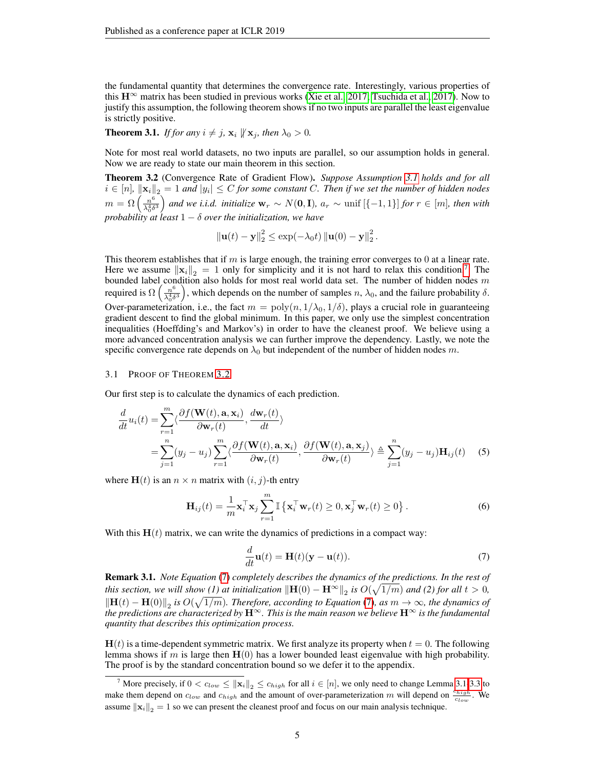the fundamental quantity that determines the convergence rate. Interestingly, various properties of this  $H^{\infty}$  matrix has been studied in previous works [\(Xie et al., 2017;](#page-12-2) [Tsuchida et al., 2017\)](#page-12-7). Now to justify this assumption, the following theorem shows if no two inputs are parallel the least eigenvalue is strictly positive.

<span id="page-4-1"></span>**Theorem 3.1.** *If for any*  $i \neq j$ ,  $\mathbf{x}_i \not\parallel \mathbf{x}_j$ , then  $\lambda_0 > 0$ .

Note for most real world datasets, no two inputs are parallel, so our assumption holds in general. Now we are ready to state our main theorem in this section.

<span id="page-4-4"></span>Theorem 3.2 (Convergence Rate of Gradient Flow). *Suppose Assumption [3.1](#page-3-2) holds and for all*  $i \in [n]$ ,  $\|\mathbf{x}_i\|_2 = 1$  and  $|y_i| \le C$  for some constant C. Then if we set the number of hidden nodes  $m = \Omega\left(\frac{n^6}{\lambda^4 s}\right)$  $\frac{n^6}{\lambda_0^4\delta^3}$  and we i.i.d. initialize  $\mathbf{w}_r \sim N(\mathbf{0}, \mathbf{I})$ *,*  $a_r \sim \text{unif } [\{-1, 1\}]$  *for*  $r \in [m]$ *, then with probability at least*  $1 - \delta$  *over the initialization, we have* 

$$
\left\|\mathbf{u}(t)-\mathbf{y}\right\|_{2}^{2} \leq \exp(-\lambda_{0}t) \left\|\mathbf{u}(0)-\mathbf{y}\right\|_{2}^{2}.
$$

This theorem establishes that if  $m$  is large enough, the training error converges to 0 at a linear rate. Here we assume  $\|\mathbf{x}_i\|_2 = 1$  only for simplicity and it is not hard to relax this condition.<sup>[7](#page-4-3)</sup> The bounded label condition also holds for most real world data set. The number of hidden nodes  $m$ required is  $\Omega\left(\frac{n^6}{\lambda^4 s}\right)$  $\frac{n^6}{\lambda_0^4 \delta^3}$ , which depends on the number of samples  $n, \lambda_0$ , and the failure probability  $\delta$ . Over-parameterization, i.e., the fact  $m = \text{poly}(n, 1/\lambda_0, 1/\delta)$ , plays a crucial role in guaranteeing gradient descent to find the global minimum. In this paper, we only use the simplest concentration inequalities (Hoeffding's and Markov's) in order to have the cleanest proof. We believe using a more advanced concentration analysis we can further improve the dependency. Lastly, we note the specific convergence rate depends on  $\lambda_0$  but independent of the number of hidden nodes m.

#### 3.1 PROOF OF THEOREM [3.2](#page-4-4)

Our first step is to calculate the dynamics of each prediction.

$$
\frac{d}{dt}u_i(t) = \sum_{r=1}^m \langle \frac{\partial f(\mathbf{W}(t), \mathbf{a}, \mathbf{x}_i)}{\partial \mathbf{w}_r(t)}, \frac{d\mathbf{w}_r(t)}{dt} \rangle
$$
\n
$$
= \sum_{j=1}^n (y_j - u_j) \sum_{r=1}^m \langle \frac{\partial f(\mathbf{W}(t), \mathbf{a}, \mathbf{x}_i)}{\partial \mathbf{w}_r(t)}, \frac{\partial f(\mathbf{W}(t), \mathbf{a}, \mathbf{x}_j)}{\partial \mathbf{w}_r(t)} \rangle \triangleq \sum_{j=1}^n (y_j - u_j) \mathbf{H}_{ij}(t) \quad (5)
$$

where  $H(t)$  is an  $n \times n$  matrix with  $(i, j)$ -th entry

$$
\mathbf{H}_{ij}(t) = \frac{1}{m} \mathbf{x}_i^{\top} \mathbf{x}_j \sum_{r=1}^{m} \mathbb{I} \left\{ \mathbf{x}_i^{\top} \mathbf{w}_r(t) \ge 0, \mathbf{x}_j^{\top} \mathbf{w}_r(t) \ge 0 \right\}.
$$
 (6)

With this  $H(t)$  matrix, we can write the dynamics of predictions in a compact way:

<span id="page-4-6"></span><span id="page-4-2"></span><span id="page-4-0"></span>
$$
\frac{d}{dt}\mathbf{u}(t) = \mathbf{H}(t)(\mathbf{y} - \mathbf{u}(t)).
$$
\n(7)

<span id="page-4-7"></span>Remark 3.1. *Note Equation* [\(7\)](#page-4-2) *completely describes the dynamics of the predictions. In the rest of this section, we will show (1) at initialization*  $\|\mathbf{H}(0) - \mathbf{H}^{\infty}\|_2$  *is*  $O(\sqrt{1/m})$  *and (2) for all*  $t > 0$ *,*  $\|\mathbf{H}(t) - \mathbf{H}(0)\|_2$  is  $O(\sqrt{1/m})$ . Therefore, according to Equation [\(7\)](#page-4-2), as  $m \to \infty$ , the dynamics of *the predictions are characterized by* H<sup>∞</sup>*. This is the main reason we believe* H<sup>∞</sup> *is the fundamental quantity that describes this optimization process.*

 $H(t)$  is a time-dependent symmetric matrix. We first analyze its property when  $t = 0$ . The following lemma shows if m is large then  $H(0)$  has a lower bounded least eigenvalue with high probability. The proof is by the standard concentration bound so we defer it to the appendix.

<span id="page-4-5"></span><span id="page-4-3"></span><sup>&</sup>lt;sup>7</sup> More precisely, if  $0 < c_{low} \le ||\mathbf{x}_i||_2 \le c_{high}$  for all  $i \in [n]$ , we only need to change Lemma [3.1](#page-4-5)[-3.3](#page-5-0) to make them depend on  $c_{low}$  and  $c_{high}$  and the amount of over-parameterization m will depend on  $\frac{c_{high}}{c_{low}}$ . We assume  $\|\mathbf{x}_i\|_2 = 1$  so we can present the cleanest proof and focus on our main analysis technique.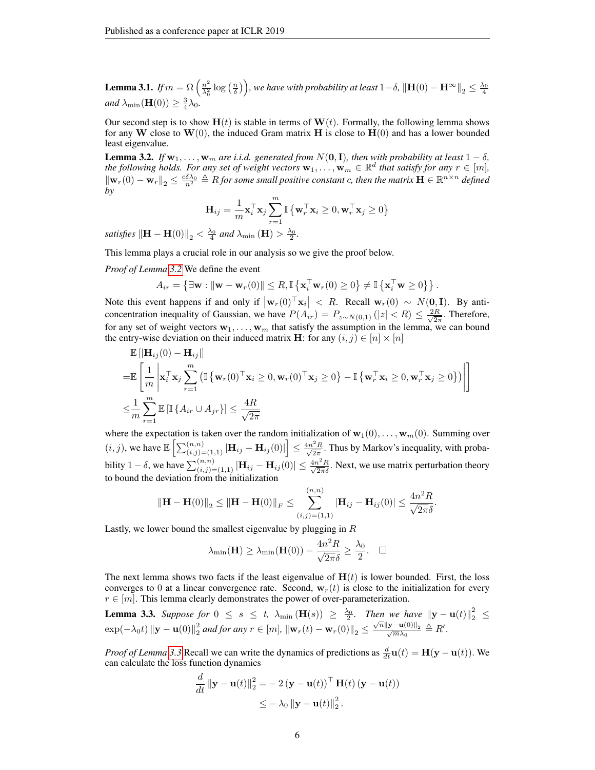**Lemma 3.1.** *If*  $m = \Omega \left( \frac{n^2}{\lambda^2} \right)$  $\frac{n^2}{\lambda_0^2}\log\left(\frac{n}{\delta}\right)\Big)$ , we have with probability at least  $1-\delta$ ,  $\|\mathbf{H}(0)-\mathbf{H}^{\infty}\|_2\leq\frac{\lambda_0}{4}$ and  $\lambda_{\min}(\mathbf{H}(0)) \geq \frac{3}{4}\lambda_0$ .

Our second step is to show  $H(t)$  is stable in terms of  $W(t)$ . Formally, the following lemma shows for any W close to  $W(0)$ , the induced Gram matrix H is close to  $H(0)$  and has a lower bounded least eigenvalue.

<span id="page-5-1"></span>**Lemma 3.2.** *If*  $w_1, \ldots, w_m$  *are i.i.d. generated from*  $N(0, I)$ *, then with probability at least*  $1 - \delta$ *, the following holds. For any set of weight vectors*  $\mathbf{w}_1, \ldots, \mathbf{w}_m \in \mathbb{R}^d$  *that satisfy for any*  $r \in [m]$ *,*  $\|\mathbf{w}_r(0) - \mathbf{w}_r\|_2 \leq \frac{c\delta\lambda_0}{n^2}$   $\triangleq$  *R* for some small positive constant c, then the matrix  $\mathbf{H} \in \mathbb{R}^{n \times n}$  defined *by*

$$
\mathbf{H}_{ij} = \frac{1}{m} \mathbf{x}_i^{\top} \mathbf{x}_j \sum_{r=1}^{m} \mathbb{I} \left\{ \mathbf{w}_r^{\top} \mathbf{x}_i \ge 0, \mathbf{w}_r^{\top} \mathbf{x}_j \ge 0 \right\}
$$

*satisfies*  $\left\Vert \mathbf{H}-\mathbf{H}(0)\right\Vert _{2}<\frac{\lambda_{0}}{4}$  and  $\lambda_{\min}\left(\mathbf{H}\right)>\frac{\lambda_{0}}{2}$ .

This lemma plays a crucial role in our analysis so we give the proof below.

*Proof of Lemma [3.2](#page-5-1)* We define the event

$$
A_{ir} = \left\{ \exists \mathbf{w} : \|\mathbf{w} - \mathbf{w}_r(0)\| \leq R, \mathbb{I} \left\{ \mathbf{x}_i^{\top} \mathbf{w}_r(0) \geq 0 \right\} \neq \mathbb{I} \left\{ \mathbf{x}_i^{\top} \mathbf{w} \geq 0 \right\} \right\}.
$$

Note this event happens if and only if  $|\mathbf{w}_r(0)^\top \mathbf{x}_i| < R$ . Recall  $\mathbf{w}_r(0) \sim N(\mathbf{0}, \mathbf{I})$ . By anticoncentration inequality of Gaussian, we have  $P(A_{ir}) = P_{z \sim N(0,1)}(|z| < R) \leq \frac{2R}{\sqrt{2\pi}}$  $\frac{R}{2\pi}$ . Therefore, for any set of weight vectors  $w_1, \ldots, w_m$  that satisfy the assumption in the lemma, we can bound the entry-wise deviation on their induced matrix **H**: for any  $(i, j) \in [n] \times [n]$ 

$$
\mathbb{E}[\|\mathbf{H}_{ij}(0) - \mathbf{H}_{ij}|\]
$$
\n
$$
= \mathbb{E}\left[\frac{1}{m}\left|\mathbf{x}_i^{\top}\mathbf{x}_j\sum_{r=1}^m\left(\mathbb{I}\left\{\mathbf{w}_r(0)^{\top}\mathbf{x}_i \ge 0, \mathbf{w}_r(0)^{\top}\mathbf{x}_j \ge 0\right\} - \mathbb{I}\left\{\mathbf{w}_r^{\top}\mathbf{x}_i \ge 0, \mathbf{w}_r^{\top}\mathbf{x}_j \ge 0\right\}\right)\right|\right]
$$
\n
$$
\leq \frac{1}{m}\sum_{r=1}^m \mathbb{E}\left[\mathbb{I}\left\{A_{ir} \cup A_{jr}\right\}\right] \leq \frac{4R}{\sqrt{2\pi}}
$$

where the expectation is taken over the random initialization of  $w_1(0), \ldots, w_m(0)$ . Summing over  $(i, j)$ , we have  $\mathbb{E}\left[\sum_{(i,j)=(1,1)}^{(n,n)} |\mathbf{H}_{ij} - \mathbf{H}_{ij}(0)|\right] \le \frac{4n^2 R}{\sqrt{2\pi}}$  $\frac{2R}{2\pi}$ . Thus by Markov's inequality, with probability 1 – δ, we have  $\sum_{(i,j)=(1,1)}^{(n,n)} |\mathbf{H}_{ij} - \mathbf{H}_{ij}(0)| \leq \frac{4n^2 R}{\sqrt{2\pi} \delta}$ . Next, we use matrix perturbation theory to bound the deviation from the initialization

$$
\|\mathbf{H} - \mathbf{H}(0)\|_2 \le \|\mathbf{H} - \mathbf{H}(0)\|_F \le \sum_{(i,j)=(1,1)}^{(n,n)} |\mathbf{H}_{ij} - \mathbf{H}_{ij}(0)| \le \frac{4n^2R}{\sqrt{2\pi\delta}}.
$$

Lastly, we lower bound the smallest eigenvalue by plugging in  $R$ 

$$
\lambda_{\min}(\mathbf{H}) \ge \lambda_{\min}(\mathbf{H}(0)) - \frac{4n^2 R}{\sqrt{2\pi}\delta} \ge \frac{\lambda_0}{2}.\quad \Box
$$

The next lemma shows two facts if the least eigenvalue of  $H(t)$  is lower bounded. First, the loss converges to 0 at a linear convergence rate. Second,  $w_r(t)$  is close to the initialization for every  $r \in [m]$ . This lemma clearly demonstrates the power of over-parameterization.

<span id="page-5-0"></span>**Lemma 3.3.** Suppose for 
$$
0 \le s \le t
$$
,  $\lambda_{\min}(\mathbf{H}(s)) \ge \frac{\lambda_0}{2}$ . Then we have  $||\mathbf{y} - \mathbf{u}(t)||_2^2 \le \exp(-\lambda_0 t) ||\mathbf{y} - \mathbf{u}(0)||_2^2$  and for any  $r \in [m]$ ,  $||\mathbf{w}_r(t) - \mathbf{w}_r(0)||_2 \le \frac{\sqrt{n}||\mathbf{y} - \mathbf{u}(0)||_2}{\sqrt{m}\lambda_0} \triangleq R'$ .

*Proof of Lemma* [3.3](#page-5-0) Recall we can write the dynamics of predictions as  $\frac{d}{dt}$ **u**(t) = **H**(**y** – **u**(t)). We can calculate the loss function dynamics

$$
\frac{d}{dt} \|\mathbf{y} - \mathbf{u}(t)\|_2^2 = -2(\mathbf{y} - \mathbf{u}(t))^\top \mathbf{H}(t) (\mathbf{y} - \mathbf{u}(t))
$$
  

$$
\leq -\lambda_0 \|\mathbf{y} - \mathbf{u}(t)\|_2^2.
$$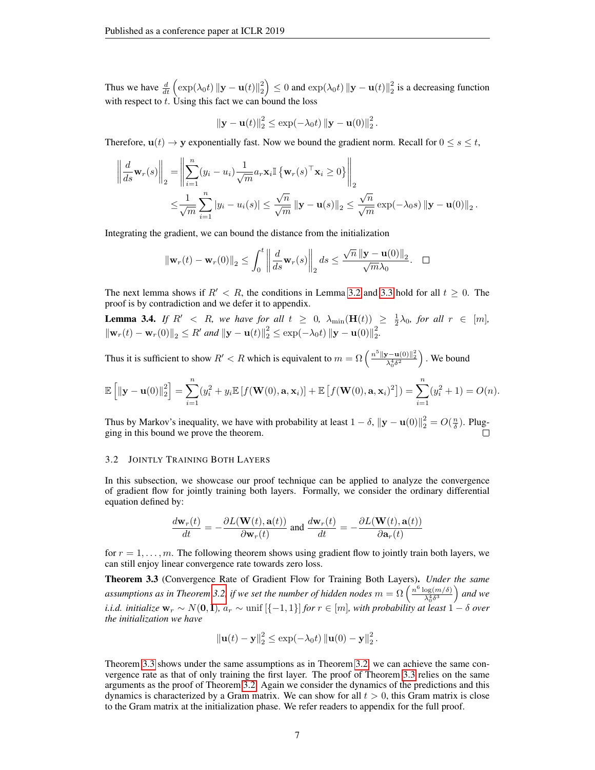Thus we have  $\frac{d}{dt} \left( \exp(\lambda_0 t) ||\mathbf{y} - \mathbf{u}(t)||_2^2 \right) \le 0$  and  $\exp(\lambda_0 t) ||\mathbf{y} - \mathbf{u}(t)||_2^2$  is a decreasing function with respect to  $t$ . Using this fact we can bound the loss

$$
\|\mathbf{y}-\mathbf{u}(t)\|_2^2 \leq \exp(-\lambda_0 t) \left\|\mathbf{y}-\mathbf{u}(0)\right\|_2^2.
$$

Therefore,  $u(t) \rightarrow y$  exponentially fast. Now we bound the gradient norm. Recall for  $0 \le s \le t$ ,

$$
\left\| \frac{d}{ds} \mathbf{w}_r(s) \right\|_2 = \left\| \sum_{i=1}^n (y_i - u_i) \frac{1}{\sqrt{m}} a_r \mathbf{x}_i \mathbb{I} \left\{ \mathbf{w}_r(s)^\top \mathbf{x}_i \ge 0 \right\} \right\|_2
$$
  

$$
\le \frac{1}{\sqrt{m}} \sum_{i=1}^n |y_i - u_i(s)| \le \frac{\sqrt{n}}{\sqrt{m}} \left\| \mathbf{y} - \mathbf{u}(s) \right\|_2 \le \frac{\sqrt{n}}{\sqrt{m}} \exp(-\lambda_0 s) \left\| \mathbf{y} - \mathbf{u}(0) \right\|_2.
$$

Integrating the gradient, we can bound the distance from the initialization

$$
\left\|\mathbf{w}_{r}(t)-\mathbf{w}_{r}(0)\right\|_{2} \leq \int_{0}^{t} \left\|\frac{d}{ds}\mathbf{w}_{r}(s)\right\|_{2} ds \leq \frac{\sqrt{n} \left\|\mathbf{y}-\mathbf{u}(0)\right\|_{2}}{\sqrt{m}\lambda_{0}}. \quad \Box
$$

The next lemma shows if  $R' < R$ , the conditions in Lemma [3.2](#page-5-1) and [3.3](#page-5-0) hold for all  $t \geq 0$ . The proof is by contradiction and we defer it to appendix.

<span id="page-6-2"></span>**Lemma 3.4.** If  $R' < R$ , we have for all  $t \geq 0$ ,  $\lambda_{\min}(\mathbf{H}(t)) \geq \frac{1}{2}\lambda_0$ , for all  $r \in [m]$ ,  $\|\mathbf{w}_r(t) - \mathbf{w}_r(0)\|_2 \le R'$  *and*  $\|\mathbf{y} - \mathbf{u}(t)\|_2^2 \le \exp(-\lambda_0 t) \|\mathbf{y} - \mathbf{u}(0)\|_2^2$ .

Thus it is sufficient to show  $R' < R$  which is equivalent to  $m = \Omega\left(\frac{n^5 \|\mathbf{y} - \mathbf{u}(0)\|^2_2}{\lambda_0^4 \delta^2}\right)$ . We bound

$$
\mathbb{E}\left[\|\mathbf{y}-\mathbf{u}(0)\|_2^2\right] = \sum_{i=1}^n (y_i^2 + y_i \mathbb{E}\left[f(\mathbf{W}(0), \mathbf{a}, \mathbf{x}_i)\right] + \mathbb{E}\left[f(\mathbf{W}(0), \mathbf{a}, \mathbf{x}_i)^2\right]) = \sum_{i=1}^n (y_i^2 + 1) = O(n).
$$

Thus by Markov's inequality, we have with probability at least  $1 - \delta$ ,  $\|\mathbf{y} - \mathbf{u}(0)\|^2_2 = O(\frac{n}{\delta})$ . Plugging in this bound we prove the theorem.

#### <span id="page-6-0"></span>3.2 JOINTLY TRAINING BOTH LAYERS

In this subsection, we showcase our proof technique can be applied to analyze the convergence of gradient flow for jointly training both layers. Formally, we consider the ordinary differential equation defined by:

$$
\frac{d\mathbf{w}_r(t)}{dt} = -\frac{\partial L(\mathbf{W}(t), \mathbf{a}(t))}{\partial \mathbf{w}_r(t)} \text{ and } \frac{d\mathbf{w}_r(t)}{dt} = -\frac{\partial L(\mathbf{W}(t), \mathbf{a}(t))}{\partial \mathbf{a}_r(t)}
$$

for  $r = 1, \ldots, m$ . The following theorem shows using gradient flow to jointly train both layers, we can still enjoy linear convergence rate towards zero loss.

<span id="page-6-1"></span>Theorem 3.3 (Convergence Rate of Gradient Flow for Training Both Layers). *Under the same* assumptions as in Theorem [3.2,](#page-4-4) if we set the number of hidden nodes  $m = \Omega\left(\frac{n^6 \log(m/\delta)}{N^4 s^3}\right)$  $\frac{\log(m/\delta)}{\lambda_0^4\delta^3}$  and we *i.i.d. initialize*  $w_r \sim N(0, I)$ *,*  $a_r \sim \text{unif } [\{-1, 1\}]$  *for*  $r \in [m]$ *, with probability at least*  $1 - \delta$  *over the initialization we have*

$$
\left\|\mathbf{u}(t)-\mathbf{y}\right\|_{2}^{2} \leq \exp(-\lambda_{0}t) \left\|\mathbf{u}(0)-\mathbf{y}\right\|_{2}^{2}.
$$

Theorem [3.3](#page-6-1) shows under the same assumptions as in Theorem [3.2,](#page-4-4) we can achieve the same convergence rate as that of only training the first layer. The proof of Theorem [3.3](#page-6-1) relies on the same arguments as the proof of Theorem [3.2.](#page-4-4) Again we consider the dynamics of the predictions and this dynamics is characterized by a Gram matrix. We can show for all  $t > 0$ , this Gram matrix is close to the Gram matrix at the initialization phase. We refer readers to appendix for the full proof.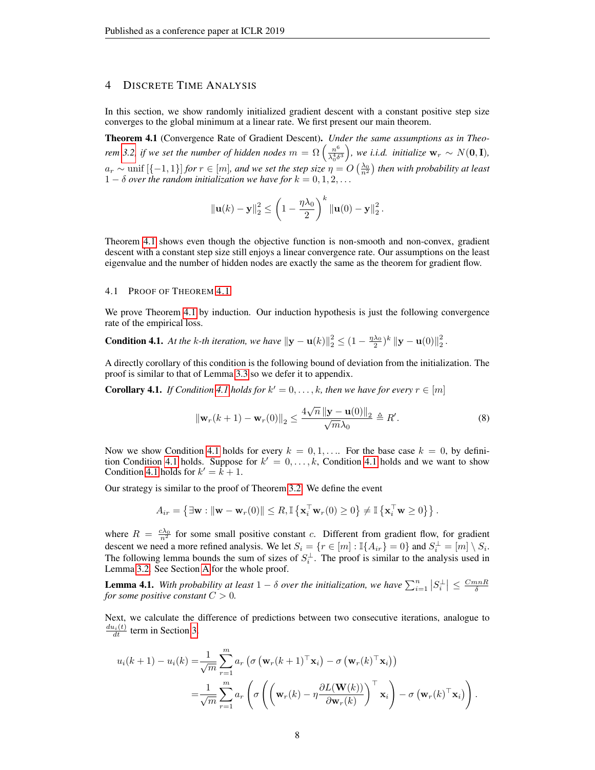## <span id="page-7-4"></span>4 DISCRETE TIME ANALYSIS

In this section, we show randomly initialized gradient descent with a constant positive step size converges to the global minimum at a linear rate. We first present our main theorem.

<span id="page-7-0"></span>Theorem 4.1 (Convergence Rate of Gradient Descent). *Under the same assumptions as in Theorem* [3.2,](#page-4-4) if we set the number of hidden nodes  $m = \Omega\left(\frac{n^6}{\lambda^4 s}\right)$  $\left(\frac{n^6}{\lambda_0^4\delta^3}\right)$ , we i.i.d. initialize  $\mathbf{w}_r \sim N(\mathbf{0}, \mathbf{I})$ ,  $a_r \sim \text{unif } [\{-1,1\}]$  *for*  $r \in [m]$ *, and we set the step size*  $\eta = O\left(\frac{\lambda_0}{n^2}\right)$  *then with probability at least*  $1 - \delta$  *over the random initialization we have for*  $k = 0, 1, 2, \ldots$ 

$$
\|\mathbf{u}(k)-\mathbf{y}\|_2^2 \leq \left(1-\frac{\eta\lambda_0}{2}\right)^k \|\mathbf{u}(0)-\mathbf{y}\|_2^2.
$$

Theorem [4.1](#page-7-0) shows even though the objective function is non-smooth and non-convex, gradient descent with a constant step size still enjoys a linear convergence rate. Our assumptions on the least eigenvalue and the number of hidden nodes are exactly the same as the theorem for gradient flow.

#### 4.1 PROOF OF THEOREM [4.1](#page-7-0)

We prove Theorem [4.1](#page-7-0) by induction. Our induction hypothesis is just the following convergence rate of the empirical loss.

<span id="page-7-1"></span>**Condition 4.1.** At the k-th iteration, we have  $||\mathbf{y} - \mathbf{u}(k)||_2^2 \leq (1 - \frac{\eta \lambda_0}{2})^k ||\mathbf{y} - \mathbf{u}(0)||_2^2$ .

A directly corollary of this condition is the following bound of deviation from the initialization. The proof is similar to that of Lemma [3.3](#page-5-0) so we defer it to appendix.

<span id="page-7-2"></span>**Corollary [4.1](#page-7-1).** *If Condition 4.1 holds for*  $k' = 0, \ldots, k$ *, then we have for every*  $r \in [m]$ 

$$
\|\mathbf{w}_r(k+1) - \mathbf{w}_r(0)\|_2 \le \frac{4\sqrt{n} \left\|\mathbf{y} - \mathbf{u}(0)\right\|_2}{\sqrt{m}\lambda_0} \triangleq R'.
$$
 (8)

Now we show Condition [4.1](#page-7-1) holds for every  $k = 0, 1, \ldots$  For the base case  $k = 0$ , by defini-tion Condition [4.1](#page-7-1) holds. Suppose for  $k' = 0, \ldots, k$ , Condition 4.1 holds and we want to show Condition [4.1](#page-7-1) holds for  $k' = k + 1$ .

Our strategy is similar to the proof of Theorem [3.2.](#page-4-4) We define the event

$$
A_{ir} = \left\{ \exists \mathbf{w} : \|\mathbf{w} - \mathbf{w}_r(0)\| \leq R, \mathbb{I}\left\{ \mathbf{x}_i^\top \mathbf{w}_r(0) \geq 0 \right\} \neq \mathbb{I}\left\{ \mathbf{x}_i^\top \mathbf{w} \geq 0 \right\} \right\}.
$$

where  $R = \frac{c\lambda_0}{n^2}$  for some small positive constant c. Different from gradient flow, for gradient descent we need a more refined analysis. We let  $S_i = \{r \in [m] : \mathbb{I}\{A_{ir}\}=0\}$  and  $S_i^{\perp} = [m] \setminus S_i$ . The following lemma bounds the sum of sizes of  $S_i^{\perp}$ . The proof is similar to the analysis used in Lemma [3.2.](#page-5-1) See Section [A](#page-13-0) for the whole proof.

<span id="page-7-3"></span>**Lemma 4.1.** With probability at least  $1 - \delta$  over the initialization, we have  $\sum_{i=1}^{n} |S_i^{\perp}| \leq \frac{CmnR}{\delta}$ *for some positive constant*  $C > 0$ *.* 

Next, we calculate the difference of predictions between two consecutive iterations, analogue to  $\frac{du_i(t)}{dt}$  term in Section [3.](#page-3-3)

$$
u_i(k+1) - u_i(k) = \frac{1}{\sqrt{m}} \sum_{r=1}^m a_r \left( \sigma \left( \mathbf{w}_r(k+1)^\top \mathbf{x}_i \right) - \sigma \left( \mathbf{w}_r(k)^\top \mathbf{x}_i \right) \right)
$$
  

$$
= \frac{1}{\sqrt{m}} \sum_{r=1}^m a_r \left( \sigma \left( \left( \mathbf{w}_r(k) - \eta \frac{\partial L(\mathbf{W}(k))}{\partial \mathbf{w}_r(k)} \right)^\top \mathbf{x}_i \right) - \sigma \left( \mathbf{w}_r(k)^\top \mathbf{x}_i \right) \right).
$$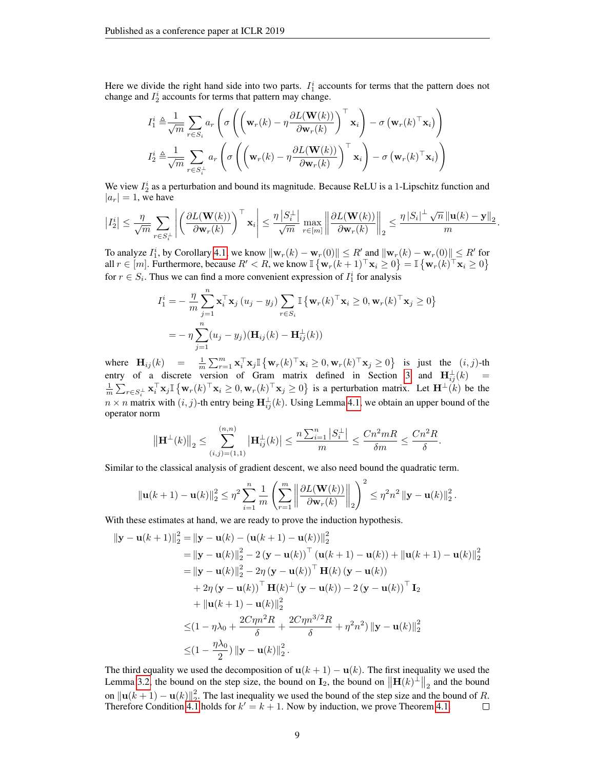Here we divide the right hand side into two parts.  $I_1^i$  accounts for terms that the pattern does not change and  $I_2^i$  accounts for terms that pattern may change.

$$
I_1^i \triangleq \frac{1}{\sqrt{m}} \sum_{r \in S_i} a_r \left( \sigma \left( \left( \mathbf{w}_r(k) - \eta \frac{\partial L(\mathbf{W}(k))}{\partial \mathbf{w}_r(k)} \right)^{\top} \mathbf{x}_i \right) - \sigma \left( \mathbf{w}_r(k)^{\top} \mathbf{x}_i \right) \right)
$$

$$
I_2^i \triangleq \frac{1}{\sqrt{m}} \sum_{r \in S_i^{\perp}} a_r \left( \sigma \left( \left( \mathbf{w}_r(k) - \eta \frac{\partial L(\mathbf{W}(k))}{\partial \mathbf{w}_r(k)} \right)^{\top} \mathbf{x}_i \right) - \sigma \left( \mathbf{w}_r(k)^{\top} \mathbf{x}_i \right) \right)
$$

We view  $I_2^i$  as a perturbation and bound its magnitude. Because ReLU is a 1-Lipschitz function and  $|a_r| = 1$ , we have

$$
\left|I_2^i\right|\leq \frac{\eta}{\sqrt{m}}\sum_{r\in S_i^{\perp}}\left|\left(\frac{\partial L(\mathbf{W}(k))}{\partial \mathbf{w}_r(k)}\right)^{\top}\mathbf{x}_i\right|\leq \frac{\eta\left|S_i^{\perp}\right|}{\sqrt{m}}\max_{r\in[m]}\left\|\frac{\partial L(\mathbf{W}(k))}{\partial \mathbf{w}_r(k)}\right\|_2\leq \frac{\eta\left|S_i\right|^{\perp}\sqrt{n}\left\|\mathbf{u}(k)-\mathbf{y}\right\|_2}{m}.
$$

To analyze  $I_1^i$ , by Corollary [4.1,](#page-7-2) we know  $\|\mathbf{w}_r(k) - \mathbf{w}_r(0)\| \le R'$  and  $\|\mathbf{w}_r(k) - \mathbf{w}_r(0)\| \le R'$  for all  $r \in [m]$ . Furthermore, because  $R' < R$ , we know  $\mathbb{I} \left\{ \mathbf{w}_r(k+1)^\top \mathbf{x}_i \geq 0 \right\} = \mathbb{I} \left\{ \mathbf{w}_r(k)^\top \mathbf{x}_i \geq 0 \right\}$ for  $r \in S_i$ . Thus we can find a more convenient expression of  $I_1^i$  for analysis

$$
I_1^i = -\frac{\eta}{m} \sum_{j=1}^n \mathbf{x}_i^{\top} \mathbf{x}_j (u_j - y_j) \sum_{r \in S_i} \mathbb{I} \{ \mathbf{w}_r(k)^{\top} \mathbf{x}_i \ge 0, \mathbf{w}_r(k)^{\top} \mathbf{x}_j \ge 0 \}
$$
  
= 
$$
-\eta \sum_{j=1}^n (u_j - y_j) (\mathbf{H}_{ij}(k) - \mathbf{H}_{ij}^{\perp}(k))
$$

where  $\mathbf{H}_{ij}(k) = \frac{1}{m} \sum_{r=1}^{m} \mathbf{x}_i^{\top} \mathbf{x}_j \mathbb{I} \left\{ \mathbf{w}_r(k)^{\top} \mathbf{x}_i \geq 0, \mathbf{w}_r(k)^{\top} \mathbf{x}_j \geq 0 \right\}$  is just the  $(i, j)$ -th entry of a discrete version of Gram matrix defined in Section [3](#page-3-3) and  $\mathbf{H}_{ij}^{\perp}(k)$  =  $\frac{1}{m} \sum_{r \in S_i^{\perp}} \mathbf{x}_i^{\top} \mathbf{x}_j \mathbb{I} \left\{ \mathbf{w}_r(k)^{\top} \mathbf{x}_i \geq 0, \mathbf{w}_r(k)^{\top} \mathbf{x}_j \geq 0 \right\}$  is a perturbation matrix. Let  $\mathbf{H}^{\perp}(k)$  be the  $n \times n$  matrix with  $(i, j)$ -th entry being  $\mathbf{H}_{ij}^{\perp}(k)$ . Using Lemma [4.1,](#page-7-3) we obtain an upper bound of the operator norm

$$
\|\mathbf{H}^{\perp}(k)\|_{2} \leq \sum_{(i,j)=(1,1)}^{(n,n)} |\mathbf{H}_{ij}^{\perp}(k)| \leq \frac{n \sum_{i=1}^{n} |S_{i}^{\perp}|}{m} \leq \frac{Cn^{2}mR}{\delta m} \leq \frac{Cn^{2}R}{\delta}.
$$

Similar to the classical analysis of gradient descent, we also need bound the quadratic term.

$$
\|\mathbf{u}(k+1)-\mathbf{u}(k)\|_{2}^{2} \leq \eta^{2} \sum_{i=1}^{n} \frac{1}{m} \left( \sum_{r=1}^{m} \left\| \frac{\partial L(\mathbf{W}(k))}{\partial \mathbf{w}_{r}(k)} \right\|_{2} \right)^{2} \leq \eta^{2} n^{2} \left\| \mathbf{y}-\mathbf{u}(k) \right\|_{2}^{2}.
$$

With these estimates at hand, we are ready to prove the induction hypothesis.

$$
\|\mathbf{y} - \mathbf{u}(k+1)\|_{2}^{2} = \|\mathbf{y} - \mathbf{u}(k) - (\mathbf{u}(k+1) - \mathbf{u}(k))\|_{2}^{2}
$$
  
\n
$$
= \|\mathbf{y} - \mathbf{u}(k)\|_{2}^{2} - 2(\mathbf{y} - \mathbf{u}(k))^\top (\mathbf{u}(k+1) - \mathbf{u}(k)) + \|\mathbf{u}(k+1) - \mathbf{u}(k)\|_{2}^{2}
$$
  
\n
$$
= \|\mathbf{y} - \mathbf{u}(k)\|_{2}^{2} - 2\eta (\mathbf{y} - \mathbf{u}(k))^\top \mathbf{H}(k) (\mathbf{y} - \mathbf{u}(k))
$$
  
\n
$$
+ 2\eta (\mathbf{y} - \mathbf{u}(k))^\top \mathbf{H}(k)^\top (\mathbf{y} - \mathbf{u}(k)) - 2(\mathbf{y} - \mathbf{u}(k))^\top \mathbf{I}_{2}
$$
  
\n
$$
+ \|\mathbf{u}(k+1) - \mathbf{u}(k)\|_{2}^{2}
$$
  
\n
$$
\leq (1 - \eta \lambda_{0} + \frac{2C\eta n^{2}R}{\delta} + \frac{2C\eta n^{3/2}R}{\delta} + \eta^{2}n^{2}) \|\mathbf{y} - \mathbf{u}(k)\|_{2}^{2}
$$
  
\n
$$
\leq (1 - \frac{\eta \lambda_{0}}{2}) \|\mathbf{y} - \mathbf{u}(k)\|_{2}^{2}.
$$

The third equality we used the decomposition of  $\mathbf{u}(k+1) - \mathbf{u}(k)$ . The first inequality we used the Lemma [3.2,](#page-5-1) the bound on the step size, the bound on  $\mathbf{I}_2$ , the bound on  $\|\mathbf{H}(k)^{\perp}\|_2$  and the bound on  $\|\mathbf{u}(k+1) - \mathbf{u}(k)\|_2^2$ . The last inequality we used the bound of the step size and the bound of R. Therefore Condition [4.1](#page-7-1) holds for  $k' = k + 1$ . Now by induction, we prove Theorem [4.1.](#page-7-0)  $\Box$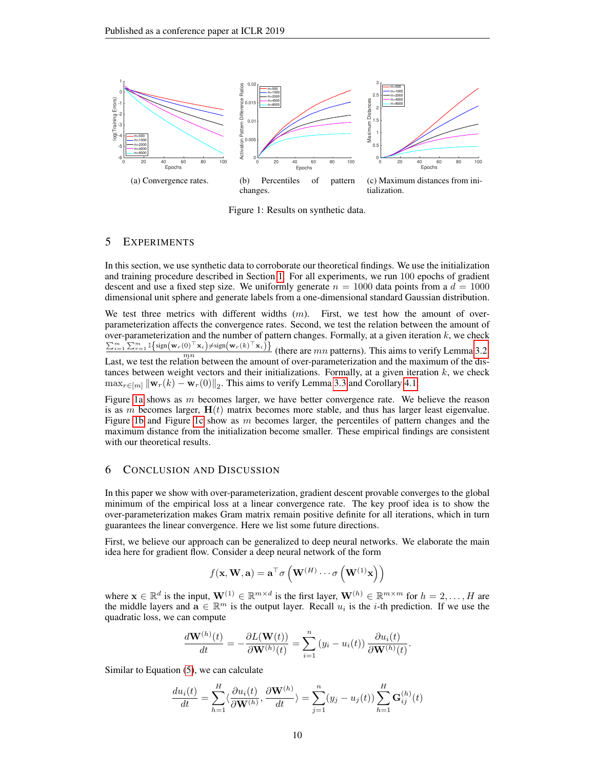<span id="page-9-0"></span>

Figure 1: Results on synthetic data.

## 5 EXPERIMENTS

In this section, we use synthetic data to corroborate our theoretical findings. We use the initialization and training procedure described in Section [1.](#page-0-0) For all experiments, we run 100 epochs of gradient descent and use a fixed step size. We uniformly generate  $n = 1000$  data points from a  $d = 1000$ dimensional unit sphere and generate labels from a one-dimensional standard Gaussian distribution.

We test three metrics with different widths  $(m)$ . First, we test how the amount of overparameterization affects the convergence rates. Second, we test the relation between the amount of over-parameterization and the number of pattern changes. Formally, at a given iteration  $k$ , we check  $\sum_{i=1}^m \sum_{r=1}^m \mathbb{I}\left\{\text{sign}\left(\mathbf{w}_r(0)^{\top} \mathbf{x}_i\right) \neq \text{sign}\left(\mathbf{w}_r(k)^{\top} \mathbf{x}_i\right)\right\}$  $\frac{(b) \Delta_i f + s \sin(\mathbf{w}_r)(h) \Delta_i f}{mn}$  (there are *mn* patterns). This aims to verify Lemma [3.2.](#page-5-1)

Last, we test the relation between the amount of over-parameterization and the maximum of the distances between weight vectors and their initializations. Formally, at a given iteration  $k$ , we check  $\max_{r \in [m]} \| \mathbf{w}_r(k) - \mathbf{w}_r(0) \|_2$ . This aims to verify Lemma [3.3](#page-5-0) and Corollary [4.1.](#page-7-2)

Figure [1a](#page-9-0) shows as  $m$  becomes larger, we have better convergence rate. We believe the reason is as m becomes larger,  $H(t)$  matrix becomes more stable, and thus has larger least eigenvalue. Figure [1b](#page-9-0) and Figure [1c](#page-9-0) show as  $m$  becomes larger, the percentiles of pattern changes and the maximum distance from the initialization become smaller. These empirical findings are consistent with our theoretical results.

### 6 CONCLUSION AND DISCUSSION

In this paper we show with over-parameterization, gradient descent provable converges to the global minimum of the empirical loss at a linear convergence rate. The key proof idea is to show the over-parameterization makes Gram matrix remain positive definite for all iterations, which in turn guarantees the linear convergence. Here we list some future directions.

First, we believe our approach can be generalized to deep neural networks. We elaborate the main idea here for gradient flow. Consider a deep neural network of the form

$$
f(\mathbf{x}, \mathbf{W}, \mathbf{a}) = \mathbf{a}^{\top} \sigma \left( \mathbf{W}^{(H)} \cdots \sigma \left( \mathbf{W}^{(1)} \mathbf{x} \right) \right)
$$

where  $\mathbf{x} \in \mathbb{R}^d$  is the input,  $\mathbf{W}^{(1)} \in \mathbb{R}^{m \times d}$  is the first layer,  $\mathbf{W}^{(h)} \in \mathbb{R}^{m \times m}$  for  $h = 2, \ldots, H$  are the middle layers and  $\mathbf{a} \in \mathbb{R}^m$  is the output layer. Recall  $u_i$  is the *i*-th prediction. If we use the quadratic loss, we can compute

$$
\frac{d\mathbf{W}^{(h)}(t)}{dt} = -\frac{\partial L(\mathbf{W}(t))}{\partial \mathbf{W}^{(h)}(t)} = \sum_{i=1}^n \left(y_i - u_i(t)\right) \frac{\partial u_i(t)}{\partial \mathbf{W}^{(h)}(t)}
$$

.

Similar to Equation [\(5\)](#page-4-6), we can calculate

$$
\frac{du_i(t)}{dt} = \sum_{h=1}^H \langle \frac{\partial u_i(t)}{\partial \mathbf{W}^{(h)}}, \frac{\partial \mathbf{W}^{(h)}}{dt} \rangle = \sum_{j=1}^n (y_j - u_j(t)) \sum_{h=1}^H \mathbf{G}_{ij}^{(h)}(t)
$$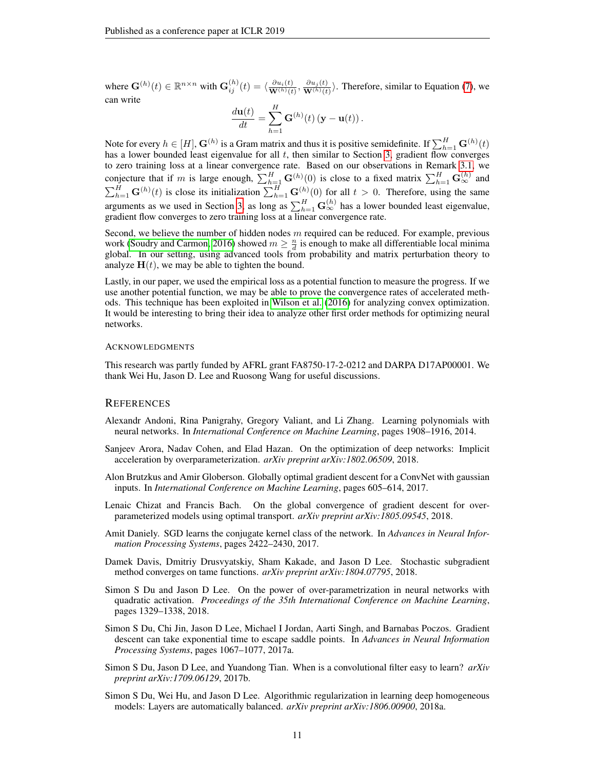where  $\mathbf{G}^{(h)}(t) \in \mathbb{R}^{n \times n}$  with  $\mathbf{G}^{(h)}_{ij}(t) = \langle \frac{\partial u_i(t)}{\mathbf{W}^{(h)}(t)} \rangle$  $\frac{\partial u_i(t)}{\mathbf{W}^{(h)}(t)}, \frac{\partial u_j(t)}{\mathbf{W}^{(h)}(t)}$  $\frac{\partial u_j(t)}{\partial \mathbf{W}^{(h)}(t)}$ . Therefore, similar to Equation [\(7\)](#page-4-2), we can write

$$
\frac{d\mathbf{u}(t)}{dt} = \sum_{h=1}^{H} \mathbf{G}^{(h)}(t) (\mathbf{y} - \mathbf{u}(t)).
$$

Note for every  $h \in [H]$ ,  $G^{(h)}$  is a Gram matrix and thus it is positive semidefinite. If  $\sum_{h=1}^H \mathbf{G}^{(h)}(t)$ has a lower bounded least eigenvalue for all  $t$ , then similar to Section [3,](#page-3-3) gradient flow converges to zero training loss at a linear convergence rate. Based on our observations in Remark [3.1,](#page-4-7) we conjecture that if m is large enough,  $\sum_{h=1}^{H}$  G $(h)(0)$  is close to a fixed matrix  $\sum_{h=1}^{H}$  G $_{\infty}^{(h)}$  and  $\sum_{h=1}^{H}$  G<sup>(h)</sup>(t) is close its initialization  $\sum_{h=1}^{H}$  G<sup>(h)</sup>(0) for all  $t > 0$ . Therefore, using the same arguments as we used in Section [3,](#page-3-3) as long as  $\sum_{h=1}^{H} \mathbf{G}_{\infty}^{(h)}$  has a lower bounded least eigenvalue, gradient flow converges to zero training loss at a linear convergence rate.

Second, we believe the number of hidden nodes  $m$  required can be reduced. For example, previous work [\(Soudry and Carmon, 2016\)](#page-11-0) showed  $m \geq \frac{n}{d}$  is enough to make all differentiable local minima global. In our setting, using advanced tools from probability and matrix perturbation theory to analyze  $H(t)$ , we may be able to tighten the bound.

Lastly, in our paper, we used the empirical loss as a potential function to measure the progress. If we use another potential function, we may be able to prove the convergence rates of accelerated methods. This technique has been exploited in [Wilson et al.](#page-12-8) [\(2016\)](#page-12-8) for analyzing convex optimization. It would be interesting to bring their idea to analyze other first order methods for optimizing neural networks.

#### ACKNOWLEDGMENTS

This research was partly funded by AFRL grant FA8750-17-2-0212 and DARPA D17AP00001. We thank Wei Hu, Jason D. Lee and Ruosong Wang for useful discussions.

#### **REFERENCES**

- <span id="page-10-5"></span>Alexandr Andoni, Rina Panigrahy, Gregory Valiant, and Li Zhang. Learning polynomials with neural networks. In *International Conference on Machine Learning*, pages 1908–1916, 2014.
- <span id="page-10-8"></span>Sanjeev Arora, Nadav Cohen, and Elad Hazan. On the optimization of deep networks: Implicit acceleration by overparameterization. *arXiv preprint arXiv:1802.06509*, 2018.
- <span id="page-10-6"></span>Alon Brutzkus and Amir Globerson. Globally optimal gradient descent for a ConvNet with gaussian inputs. In *International Conference on Machine Learning*, pages 605–614, 2017.
- <span id="page-10-1"></span>Lenaic Chizat and Francis Bach. On the global convergence of gradient descent for overparameterized models using optimal transport. *arXiv preprint arXiv:1805.09545*, 2018.
- <span id="page-10-7"></span>Amit Daniely. SGD learns the conjugate kernel class of the network. In *Advances in Neural Information Processing Systems*, pages 2422–2430, 2017.
- <span id="page-10-0"></span>Damek Davis, Dmitriy Drusvyatskiy, Sham Kakade, and Jason D Lee. Stochastic subgradient method converges on tame functions. *arXiv preprint arXiv:1804.07795*, 2018.
- <span id="page-10-4"></span>Simon S Du and Jason D Lee. On the power of over-parametrization in neural networks with quadratic activation. *Proceedings of the 35th International Conference on Machine Learning*, pages 1329–1338, 2018.
- <span id="page-10-3"></span>Simon S Du, Chi Jin, Jason D Lee, Michael I Jordan, Aarti Singh, and Barnabas Poczos. Gradient descent can take exponential time to escape saddle points. In *Advances in Neural Information Processing Systems*, pages 1067–1077, 2017a.
- <span id="page-10-2"></span>Simon S Du, Jason D Lee, and Yuandong Tian. When is a convolutional filter easy to learn? *arXiv preprint arXiv:1709.06129*, 2017b.
- <span id="page-10-9"></span>Simon S Du, Wei Hu, and Jason D Lee. Algorithmic regularization in learning deep homogeneous models: Layers are automatically balanced. *arXiv preprint arXiv:1806.00900*, 2018a.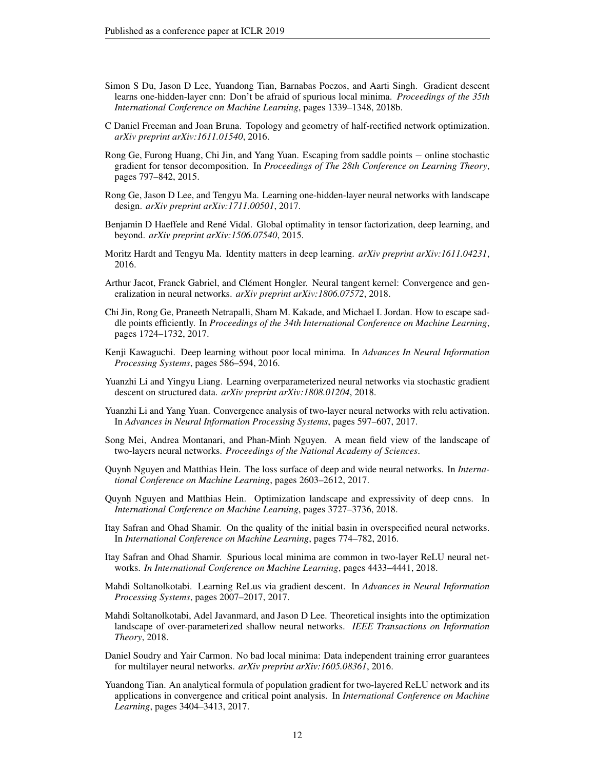- <span id="page-11-17"></span>Simon S Du, Jason D Lee, Yuandong Tian, Barnabas Poczos, and Aarti Singh. Gradient descent learns one-hidden-layer cnn: Don't be afraid of spurious local minima. *Proceedings of the 35th International Conference on Machine Learning*, pages 1339–1348, 2018b.
- <span id="page-11-8"></span>C Daniel Freeman and Joan Bruna. Topology and geometry of half-rectified network optimization. *arXiv preprint arXiv:1611.01540*, 2016.
- <span id="page-11-5"></span>Rong Ge, Furong Huang, Chi Jin, and Yang Yuan. Escaping from saddle points − online stochastic gradient for tensor decomposition. In *Proceedings of The 28th Conference on Learning Theory*, pages 797–842, 2015.
- <span id="page-11-6"></span>Rong Ge, Jason D Lee, and Tengyu Ma. Learning one-hidden-layer neural networks with landscape design. *arXiv preprint arXiv:1711.00501*, 2017.
- <span id="page-11-14"></span>Benjamin D Haeffele and René Vidal. Global optimality in tensor factorization, deep learning, and beyond. *arXiv preprint arXiv:1506.07540*, 2015.
- <span id="page-11-9"></span>Moritz Hardt and Tengyu Ma. Identity matters in deep learning. *arXiv preprint arXiv:1611.04231*, 2016.
- <span id="page-11-18"></span>Arthur Jacot, Franck Gabriel, and Clément Hongler. Neural tangent kernel: Convergence and generalization in neural networks. *arXiv preprint arXiv:1806.07572*, 2018.
- <span id="page-11-4"></span>Chi Jin, Rong Ge, Praneeth Netrapalli, Sham M. Kakade, and Michael I. Jordan. How to escape saddle points efficiently. In *Proceedings of the 34th International Conference on Machine Learning*, pages 1724–1732, 2017.
- <span id="page-11-13"></span>Kenji Kawaguchi. Deep learning without poor local minima. In *Advances In Neural Information Processing Systems*, pages 586–594, 2016.
- <span id="page-11-19"></span>Yuanzhi Li and Yingyu Liang. Learning overparameterized neural networks via stochastic gradient descent on structured data. *arXiv preprint arXiv:1808.01204*, 2018.
- <span id="page-11-2"></span>Yuanzhi Li and Yang Yuan. Convergence analysis of two-layer neural networks with relu activation. In *Advances in Neural Information Processing Systems*, pages 597–607, 2017.
- <span id="page-11-1"></span>Song Mei, Andrea Montanari, and Phan-Minh Nguyen. A mean field view of the landscape of two-layers neural networks. *Proceedings of the National Academy of Sciences*.
- <span id="page-11-12"></span>Quynh Nguyen and Matthias Hein. The loss surface of deep and wide neural networks. In *International Conference on Machine Learning*, pages 2603–2612, 2017.
- <span id="page-11-3"></span>Quynh Nguyen and Matthias Hein. Optimization landscape and expressivity of deep cnns. In *International Conference on Machine Learning*, pages 3727–3736, 2018.
- <span id="page-11-7"></span>Itay Safran and Ohad Shamir. On the quality of the initial basin in overspecified neural networks. In *International Conference on Machine Learning*, pages 774–782, 2016.
- <span id="page-11-10"></span>Itay Safran and Ohad Shamir. Spurious local minima are common in two-layer ReLU neural networks. *In International Conference on Machine Learning*, pages 4433–4441, 2018.
- <span id="page-11-16"></span>Mahdi Soltanolkotabi. Learning ReLus via gradient descent. In *Advances in Neural Information Processing Systems*, pages 2007–2017, 2017.
- <span id="page-11-11"></span>Mahdi Soltanolkotabi, Adel Javanmard, and Jason D Lee. Theoretical insights into the optimization landscape of over-parameterized shallow neural networks. *IEEE Transactions on Information Theory*, 2018.
- <span id="page-11-0"></span>Daniel Soudry and Yair Carmon. No bad local minima: Data independent training error guarantees for multilayer neural networks. *arXiv preprint arXiv:1605.08361*, 2016.
- <span id="page-11-15"></span>Yuandong Tian. An analytical formula of population gradient for two-layered ReLU network and its applications in convergence and critical point analysis. In *International Conference on Machine Learning*, pages 3404–3413, 2017.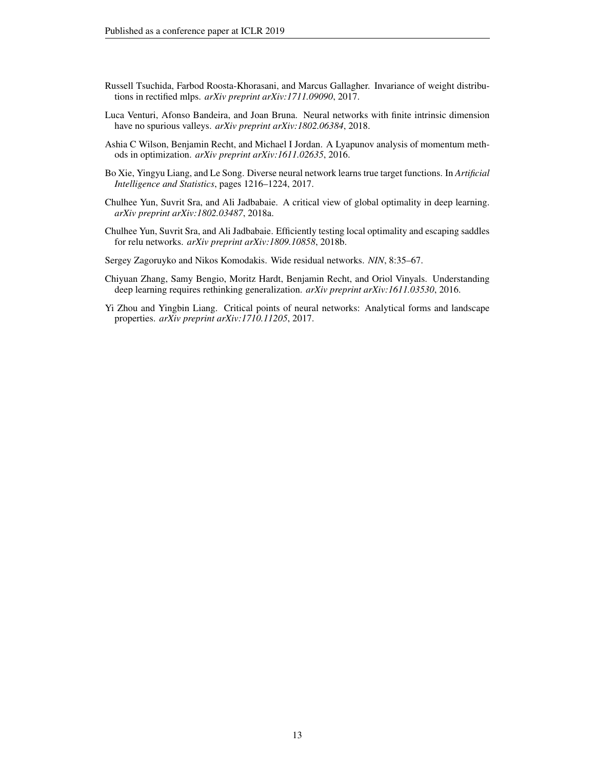- <span id="page-12-7"></span>Russell Tsuchida, Farbod Roosta-Khorasani, and Marcus Gallagher. Invariance of weight distributions in rectified mlps. *arXiv preprint arXiv:1711.09090*, 2017.
- <span id="page-12-6"></span>Luca Venturi, Afonso Bandeira, and Joan Bruna. Neural networks with finite intrinsic dimension have no spurious valleys. *arXiv preprint arXiv:1802.06384*, 2018.
- <span id="page-12-8"></span>Ashia C Wilson, Benjamin Recht, and Michael I Jordan. A Lyapunov analysis of momentum methods in optimization. *arXiv preprint arXiv:1611.02635*, 2016.
- <span id="page-12-2"></span>Bo Xie, Yingyu Liang, and Le Song. Diverse neural network learns true target functions. In *Artificial Intelligence and Statistics*, pages 1216–1224, 2017.
- <span id="page-12-4"></span>Chulhee Yun, Suvrit Sra, and Ali Jadbabaie. A critical view of global optimality in deep learning. *arXiv preprint arXiv:1802.03487*, 2018a.
- <span id="page-12-5"></span>Chulhee Yun, Suvrit Sra, and Ali Jadbabaie. Efficiently testing local optimality and escaping saddles for relu networks. *arXiv preprint arXiv:1809.10858*, 2018b.
- <span id="page-12-1"></span>Sergey Zagoruyko and Nikos Komodakis. Wide residual networks. *NIN*, 8:35–67.
- <span id="page-12-0"></span>Chiyuan Zhang, Samy Bengio, Moritz Hardt, Benjamin Recht, and Oriol Vinyals. Understanding deep learning requires rethinking generalization. *arXiv preprint arXiv:1611.03530*, 2016.
- <span id="page-12-3"></span>Yi Zhou and Yingbin Liang. Critical points of neural networks: Analytical forms and landscape properties. *arXiv preprint arXiv:1710.11205*, 2017.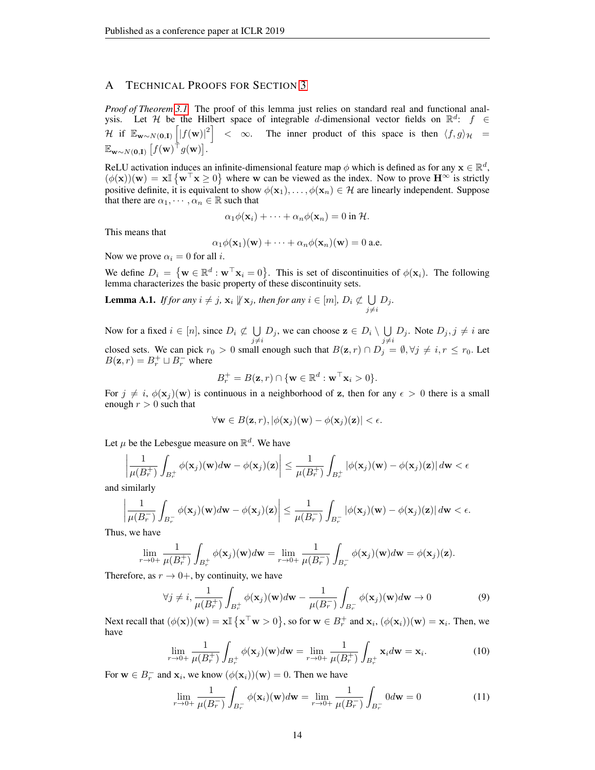# <span id="page-13-0"></span>A TECHNICAL PROOFS FOR SECTION [3](#page-3-3)

*Proof of Theorem [3.1.](#page-4-1)* The proof of this lemma just relies on standard real and functional analysis. Let H be the Hilbert space of integrable d-dimensional vector fields on  $\mathbb{R}^d$ :  $f \in$ H if  $\mathbb{E}_{\mathbf{w}\sim N(\mathbf{0},\mathbf{I})}\left[|f(\mathbf{w})|^2\right] < \infty$ . The inner product of this space is then  $\langle f, g \rangle_{\mathcal{H}} =$  $\mathbb{E}_{\mathbf{w}\sim N(\mathbf{0},\mathbf{I})}\left[f(\mathbf{w})^\top g(\mathbf{w})\right].$ 

ReLU activation induces an infinite-dimensional feature map  $\phi$  which is defined as for any  $\mathbf{x} \in \mathbb{R}^d$ ,  $(\phi(\mathbf{x}))(\mathbf{w}) = \mathbf{x} \mathbb{I} \{ \mathbf{w}^{\top} \mathbf{x} \geq 0 \}$  where w can be viewed as the index. Now to prove  $\mathbf{H}^{\infty}$  is strictly positive definite, it is equivalent to show  $\phi(\mathbf{x}_1), \dots, \phi(\mathbf{x}_n) \in \mathcal{H}$  are linearly independent. Suppose that there are  $\alpha_1, \dots, \alpha_n \in \mathbb{R}$  such that

$$
\alpha_1 \phi(\mathbf{x}_i) + \cdots + \alpha_n \phi(\mathbf{x}_n) = 0 \text{ in } \mathcal{H}.
$$

This means that

$$
\alpha_1 \phi(\mathbf{x}_1)(\mathbf{w}) + \cdots + \alpha_n \phi(\mathbf{x}_n)(\mathbf{w}) = 0
$$
 a.e.

Now we prove  $\alpha_i = 0$  for all *i*.

We define  $D_i = \{ \mathbf{w} \in \mathbb{R}^d : \mathbf{w}^\top \mathbf{x}_i = 0 \}.$  This is set of discontinuities of  $\phi(\mathbf{x}_i)$ . The following lemma characterizes the basic property of these discontinuity sets.

<span id="page-13-4"></span>**Lemma A.1.** *If for any*  $i \neq j$ ,  $\mathbf{x}_i \not\Vert \mathbf{x}_j$ , then for any  $i \in [m]$ ,  $D_i \not\subset \bigcup D_j$ .  $j\neq i$ 

Now for a fixed  $i \in [n]$ , since  $D_i \not\subset \bigcup$  $\bigcup_{j \neq i} D_j$ , we can choose  $\mathbf{z} \in D_i \setminus \bigcup_{j \neq i}$  $\bigcup_{j \neq i} D_j$ . Note  $D_j, j \neq i$  are closed sets. We can pick  $r_0 > 0$  small enough such that  $B(z, r) \cap D_j = \emptyset, \forall j \neq i, r \leq r_0$ . Let  $B(\mathbf{z}, r) = B_r^+ \sqcup B_r^-$  where

$$
B_r^+ = B(\mathbf{z},r) \cap \{\mathbf{w} \in \mathbb{R}^d : \mathbf{w}^\top \mathbf{x}_i > 0\}.
$$

For  $j \neq i$ ,  $\phi(\mathbf{x}_i)(\mathbf{w})$  is continuous in a neighborhood of z, then for any  $\epsilon > 0$  there is a small enough  $r > 0$  such that

$$
\forall \mathbf{w} \in B(\mathbf{z},r), |\phi(\mathbf{x}_j)(\mathbf{w}) - \phi(\mathbf{x}_j)(\mathbf{z})| < \epsilon.
$$

Let  $\mu$  be the Lebesgue measure on  $\mathbb{R}^d$ . We have

$$
\left|\frac{1}{\mu(B_r^+)}\int_{B_r^+}\phi(\mathbf{x}_j)(\mathbf{w})d\mathbf{w}-\phi(\mathbf{x}_j)(\mathbf{z})\right|\leq\frac{1}{\mu(B_r^+)}\int_{B_r^+}|\phi(\mathbf{x}_j)(\mathbf{w})-\phi(\mathbf{x}_j)(\mathbf{z})|\,d\mathbf{w}<\epsilon
$$

and similarly

$$
\left|\frac{1}{\mu(B_r^-)}\int_{B_r^-}\phi(\mathbf{x}_j)(\mathbf{w})d\mathbf{w}-\phi(\mathbf{x}_j)(\mathbf{z})\right|\leq\frac{1}{\mu(B_r^-)}\int_{B_r^-}\left|\phi(\mathbf{x}_j)(\mathbf{w})-\phi(\mathbf{x}_j)(\mathbf{z})\right|d\mathbf{w}<\epsilon.
$$

Thus, we have

$$
\lim_{r\to 0+}\frac{1}{\mu(B_r^+)}\int_{B_r^+}\phi(\mathbf{x}_j)(\mathbf{w})d\mathbf{w}=\lim_{r\to 0+}\frac{1}{\mu(B_r^-)}\int_{B_r^-}\phi(\mathbf{x}_j)(\mathbf{w})d\mathbf{w}=\phi(\mathbf{x}_j)(\mathbf{z}).
$$

Therefore, as  $r \to 0^+$ , by continuity, we have

$$
\forall j \neq i, \frac{1}{\mu(B_r^+)} \int_{B_r^+} \phi(\mathbf{x}_j)(\mathbf{w}) d\mathbf{w} - \frac{1}{\mu(B_r^-)} \int_{B_r^-} \phi(\mathbf{x}_j)(\mathbf{w}) d\mathbf{w} \to 0
$$
 (9)

Next recall that  $(\phi(\mathbf{x}))(\mathbf{w}) = \mathbf{x} \mathbb{I} \{ \mathbf{x}^{\top} \mathbf{w} > 0 \}$ , so for  $\mathbf{w} \in B_r^+$  and  $\mathbf{x}_i$ ,  $(\phi(\mathbf{x}_i))(\mathbf{w}) = \mathbf{x}_i$ . Then, we have

<span id="page-13-1"></span>
$$
\lim_{r \to 0+} \frac{1}{\mu(B_r^+)} \int_{B_r^+} \phi(\mathbf{x}_j)(\mathbf{w}) d\mathbf{w} = \lim_{r \to 0+} \frac{1}{\mu(B_r^+)} \int_{B_r^+} \mathbf{x}_i d\mathbf{w} = \mathbf{x}_i.
$$
 (10)

For  $\mathbf{w} \in B_r^-$  and  $\mathbf{x}_i$ , we know  $(\phi(\mathbf{x}_i))(\mathbf{w}) = 0$ . Then we have

<span id="page-13-3"></span><span id="page-13-2"></span>
$$
\lim_{r \to 0+} \frac{1}{\mu(B_r^{-})} \int_{B_r^{-}} \phi(\mathbf{x}_i)(\mathbf{w}) d\mathbf{w} = \lim_{r \to 0+} \frac{1}{\mu(B_r^{-})} \int_{B_r^{-}} 0 d\mathbf{w} = 0
$$
\n(11)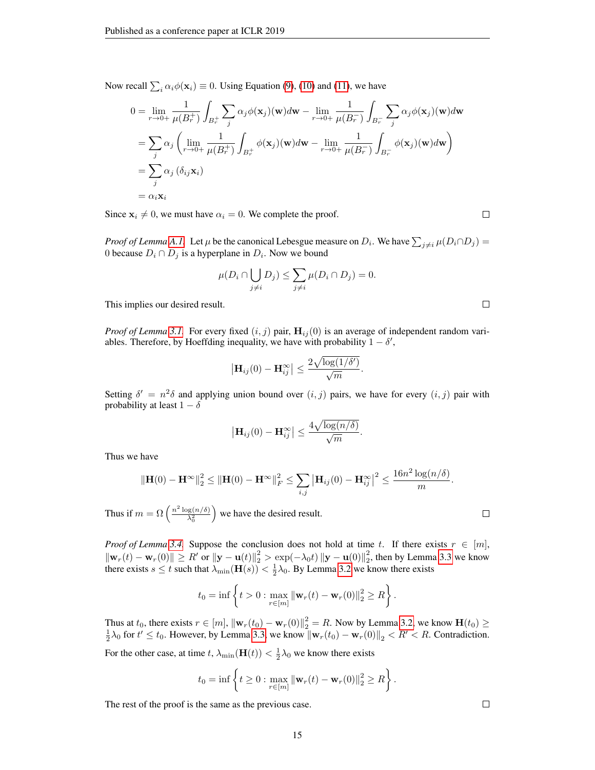Now recall  $\sum_i \alpha_i \phi(\mathbf{x}_i) \equiv 0$ . Using Equation [\(9\)](#page-13-1), [\(10\)](#page-13-2) and [\(11\)](#page-13-3), we have

$$
0 = \lim_{r \to 0+} \frac{1}{\mu(B_r^+)} \int_{B_r^+} \sum_j \alpha_j \phi(\mathbf{x}_j)(\mathbf{w}) d\mathbf{w} - \lim_{r \to 0+} \frac{1}{\mu(B_r^-)} \int_{B_r^-} \sum_j \alpha_j \phi(\mathbf{x}_j)(\mathbf{w}) d\mathbf{w}
$$
  
\n
$$
= \sum_j \alpha_j \left( \lim_{r \to 0+} \frac{1}{\mu(B_r^+)} \int_{B_r^+} \phi(\mathbf{x}_j)(\mathbf{w}) d\mathbf{w} - \lim_{r \to 0+} \frac{1}{\mu(B_r^-)} \int_{B_r^-} \phi(\mathbf{x}_j)(\mathbf{w}) d\mathbf{w} \right)
$$
  
\n
$$
= \sum_j \alpha_j (\delta_{ij} \mathbf{x}_i)
$$
  
\n
$$
= \alpha_i \mathbf{x}_i
$$

Since  $x_i \neq 0$ , we must have  $\alpha_i = 0$ . We complete the proof.

*Proof of Lemma A.1.* Let  $\mu$  be the canonical Lebesgue measure on  $D_i$ . We have  $\sum_{j\neq i} \mu(D_i \cap D_j)$ 0 because  $D_i \cap D_j$  is a hyperplane in  $D_i$ . Now we bound

$$
\mu(D_i \cap \bigcup_{j \neq i} D_j) \leq \sum_{j \neq i} \mu(D_i \cap D_j) = 0.
$$

This implies our desired result.

*Proof of Lemma* [3.1.](#page-4-5) For every fixed  $(i, j)$  pair,  $H_{ij}(0)$  is an average of independent random variables. Therefore, by Hoeffding inequality, we have with probability  $1 - \delta'$ ,

$$
\left|\mathbf{H}_{ij}(0)-\mathbf{H}_{ij}^{\infty}\right| \leq \frac{2\sqrt{\log(1/\delta')}}{\sqrt{m}}.
$$

Setting  $\delta' = n^2 \delta$  and applying union bound over  $(i, j)$  pairs, we have for every  $(i, j)$  pair with probability at least  $1 - \delta$ 

$$
\left|\mathbf{H}_{ij}(0)-\mathbf{H}_{ij}^{\infty}\right| \leq \frac{4\sqrt{\log(n/\delta)}}{\sqrt{m}}.
$$

Thus we have

$$
\|\mathbf{H}(0) - \mathbf{H}^{\infty}\|_{2}^{2} \leq \|\mathbf{H}(0) - \mathbf{H}^{\infty}\|_{F}^{2} \leq \sum_{i,j} |\mathbf{H}_{ij}(0) - \mathbf{H}_{ij}^{\infty}|^{2} \leq \frac{16n^{2} \log(n/\delta)}{m}.
$$

Thus if  $m = \Omega\left(\frac{n^2 \log(n/\delta)}{\lambda^2}\right)$  $\lambda_0^2$ we have the desired result.

*Proof of Lemma* [3.4.](#page-6-2) Suppose the conclusion does not hold at time t. If there exists  $r \in [m]$ ,  $\|\mathbf{w}_r(t) - \mathbf{w}_r(0)\| \ge R'$  or  $\|\mathbf{y} - \mathbf{u}(t)\|_2^2 > \exp(-\lambda_0 t) \|\mathbf{y} - \mathbf{u}(0)\|_2^2$ , then by Lemma [3.3](#page-5-0) we know there exists  $s \le t$  such that  $\lambda_{\min}(\mathbf{H}(s)) < \frac{1}{2}\lambda_0$ . By Lemma [3.2](#page-5-1) we know there exists

$$
t_0 = \inf \left\{ t > 0 : \max_{r \in [m]} ||\mathbf{w}_r(t) - \mathbf{w}_r(0)||_2^2 \ge R \right\}.
$$

Thus at  $t_0$ , there exists  $r \in [m]$ ,  $\|\mathbf{w}_r(t_0) - \mathbf{w}_r(0)\|^2 = R$ . Now by Lemma [3.2,](#page-5-1) we know  $\mathbf{H}(t_0) \ge \frac{1}{2}\lambda_0$  for  $t' \le t_0$ . However, by Lemma [3.3,](#page-5-0) we know  $\|\mathbf{w}_r(t_0) - \mathbf{w}_r(0)\|_2 < R' < R$ . Contradiction.

For the other case, at time  $t$ ,  $\lambda_{\min}(\mathbf{H}(t)) < \frac{1}{2}\lambda_0$  we know there exists

$$
t_0 = \inf \left\{ t \ge 0 : \max_{r \in [m]} ||\mathbf{w}_r(t) - \mathbf{w}_r(0)||_2^2 \ge R \right\}.
$$

The rest of the proof is the same as the previous case.

 $\Box$ 

 $\Box$ 

 $\Box$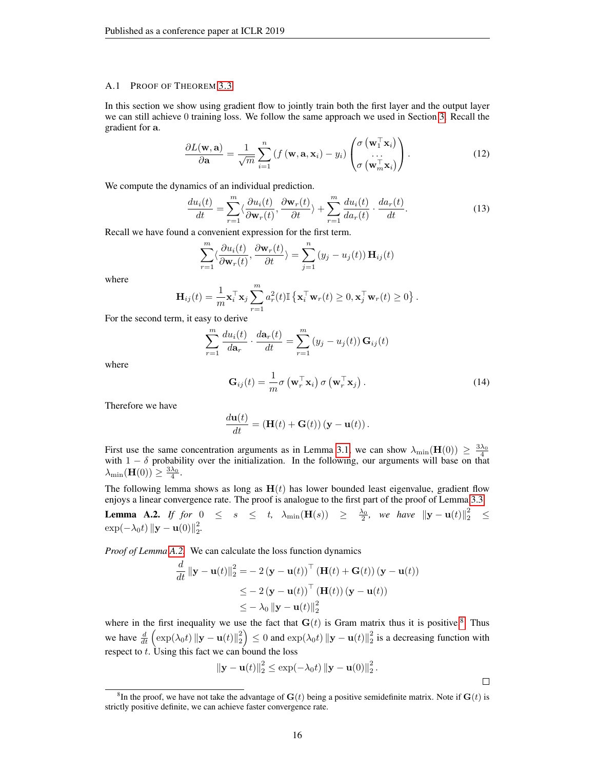#### A.1 PROOF OF THEOREM [3.3](#page-6-1)

In this section we show using gradient flow to jointly train both the first layer and the output layer we can still achieve 0 training loss. We follow the same approach we used in Section [3.](#page-3-3) Recall the gradient for a.

$$
\frac{\partial L(\mathbf{w}, \mathbf{a})}{\partial \mathbf{a}} = \frac{1}{\sqrt{m}} \sum_{i=1}^{n} \left( f(\mathbf{w}, \mathbf{a}, \mathbf{x}_i) - y_i \right) \begin{pmatrix} \sigma\left(\mathbf{w}_1^{\top} \mathbf{x}_i\right) \\ \cdots \\ \sigma\left(\mathbf{w}_m^{\top} \mathbf{x}_i\right) \end{pmatrix} . \tag{12}
$$

We compute the dynamics of an individual prediction.

$$
\frac{du_i(t)}{dt} = \sum_{r=1}^m \langle \frac{\partial u_i(t)}{\partial \mathbf{w}_r(t)}, \frac{\partial \mathbf{w}_r(t)}{\partial t} \rangle + \sum_{r=1}^m \frac{du_i(t)}{da_r(t)} \cdot \frac{da_r(t)}{dt}.
$$
(13)

Recall we have found a convenient expression for the first term.

$$
\sum_{r=1}^{m} \langle \frac{\partial u_i(t)}{\partial \mathbf{w}_r(t)}, \frac{\partial \mathbf{w}_r(t)}{\partial t} \rangle = \sum_{j=1}^{n} (y_j - u_j(t)) \mathbf{H}_{ij}(t)
$$

where

$$
\mathbf{H}_{ij}(t) = \frac{1}{m} \mathbf{x}_i^{\top} \mathbf{x}_j \sum_{r=1}^m a_r^2(t) \mathbb{I} \left\{ \mathbf{x}_i^{\top} \mathbf{w}_r(t) \ge 0, \mathbf{x}_j^{\top} \mathbf{w}_r(t) \ge 0 \right\}.
$$

For the second term, it easy to derive

$$
\sum_{r=1}^{m} \frac{du_i(t)}{da_r} \cdot \frac{d\mathbf{a}_r(t)}{dt} = \sum_{r=1}^{m} (y_j - u_j(t)) \mathbf{G}_{ij}(t)
$$

where

$$
\mathbf{G}_{ij}(t) = \frac{1}{m}\sigma\left(\mathbf{w}_r^{\top}\mathbf{x}_i\right)\sigma\left(\mathbf{w}_r^{\top}\mathbf{x}_j\right).
$$
 (14)

Therefore we have

$$
\frac{d\mathbf{u}(t)}{dt} = (\mathbf{H}(t) + \mathbf{G}(t)) (\mathbf{y} - \mathbf{u}(t)).
$$

First use the same concentration arguments as in Lemma [3.1,](#page-4-5) we can show  $\lambda_{\min}(\mathbf{H}(0)) \geq \frac{3\lambda_0}{4}$ with  $1 - \delta$  probability over the initialization. In the following, our arguments will base on that  $\lambda_{\min}(\mathbf{H}(0)) \geq \frac{3\lambda_0}{4}.$ 

The following lemma shows as long as  $H(t)$  has lower bounded least eigenvalue, gradient flow enjoys a linear convergence rate. The proof is analogue to the first part of the proof of Lemma [3.3.](#page-5-0)

<span id="page-15-0"></span>**Lemma A.2.** If for  $0 \leq s \leq t$ ,  $\lambda_{\min}(\mathbf{H}(s)) \geq \frac{\lambda_0}{2}$ , we have  $\|\mathbf{y} - \mathbf{u}(t)\|_2^2 \leq$  $\exp(-\lambda_0 t) \| \mathbf{y} - \mathbf{u}(0) \|_2^2.$ 

*Proof of Lemma [A.2.](#page-15-0)* We can calculate the loss function dynamics

$$
\frac{d}{dt} \|\mathbf{y} - \mathbf{u}(t)\|_{2}^{2} = -2(\mathbf{y} - \mathbf{u}(t))^\top (\mathbf{H}(t) + \mathbf{G}(t)) (\mathbf{y} - \mathbf{u}(t))
$$
\n
$$
\leq -2(\mathbf{y} - \mathbf{u}(t))^\top (\mathbf{H}(t)) (\mathbf{y} - \mathbf{u}(t))
$$
\n
$$
\leq -\lambda_{0} \|\mathbf{y} - \mathbf{u}(t)\|_{2}^{2}
$$

where in the first inequality we use the fact that  $G(t)$  is Gram matrix thus it is positive.<sup>[8](#page-15-1)</sup> Thus we have  $\frac{d}{dt} \left( \exp(\lambda_0 t) \| \mathbf{y} - \mathbf{u}(t) \|_2^2 \right) \le 0$  and  $\exp(\lambda_0 t) \| \mathbf{y} - \mathbf{u}(t) \|_2^2$  is a decreasing function with respect to  $t$ . Using this fact we can bound the loss

$$
\|\mathbf{y}-\mathbf{u}(t)\|_2^2 \le \exp(-\lambda_0 t) \left\|\mathbf{y}-\mathbf{u}(0)\right\|_2^2.
$$

 $\Box$ 

<span id="page-15-1"></span><sup>&</sup>lt;sup>8</sup>In the proof, we have not take the advantage of  $G(t)$  being a positive semidefinite matrix. Note if  $G(t)$  is strictly positive definite, we can achieve faster convergence rate.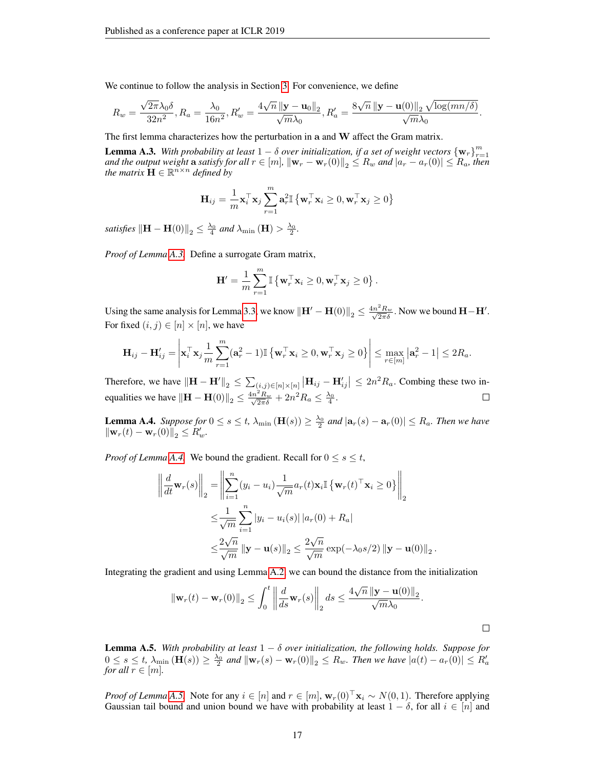We continue to follow the analysis in Section [3.](#page-3-3) For convenience, we define

$$
R_w = \frac{\sqrt{2\pi}\lambda_0\delta}{32n^2}, R_a = \frac{\lambda_0}{16n^2}, R'_w = \frac{4\sqrt{n}\left\|\mathbf{y} - \mathbf{u}_0\right\|_2}{\sqrt{m}\lambda_0}, R'_a = \frac{8\sqrt{n}\left\|\mathbf{y} - \mathbf{u}(0)\right\|_2\sqrt{\log(mn/\delta)}}{\sqrt{m}\lambda_0}.
$$

The first lemma characterizes how the perturbation in a and W affect the Gram matrix.

<span id="page-16-0"></span>**Lemma A.3.** With probability at least  $1 - \delta$  over initialization, if a set of weight vectors  $\{w_r\}_{r=1}^m$  and the output weight a satisfy for all  $r \in [m]$ ,  $\|w_r - w_r(0)\|_2 \le R_w$  and  $|a_r - a_r(0)| \le R_a$ , then *the matrix*  $\mathbf{H} \in \mathbb{R}^{n \times n}$  *defined by* 

$$
\mathbf{H}_{ij} = \frac{1}{m} \mathbf{x}_i^{\top} \mathbf{x}_j \sum_{r=1}^{m} \mathbf{a}_r^2 \mathbb{I} \left\{ \mathbf{w}_r^{\top} \mathbf{x}_i \ge 0, \mathbf{w}_r^{\top} \mathbf{x}_j \ge 0 \right\}
$$

*satisfies*  $\left\Vert \mathbf{H}-\mathbf{H}(0)\right\Vert _{2}\leq\frac{\lambda_{0}}{4}$  and  $\lambda_{\min}\left(\mathbf{H}\right)>\frac{\lambda_{0}}{2}$ .

*Proof of Lemma [A.3.](#page-16-0)* Define a surrogate Gram matrix,

$$
\mathbf{H}' = \frac{1}{m} \sum_{r=1}^{m} \mathbb{I} \left\{ \mathbf{w}_{r}^{\top} \mathbf{x}_{i} \geq 0, \mathbf{w}_{r}^{\top} \mathbf{x}_{j} \geq 0 \right\}.
$$

Using the same analysis for Lemma [3.3,](#page-5-0) we know  $\|\mathbf{H}' - \mathbf{H}(0)\|_2 \leq \frac{4n^2 R_w}{\sqrt{2\pi}\delta}$ . Now we bound  $\mathbf{H} - \mathbf{H}'$ . For fixed  $(i, j) \in [n] \times [n]$ , we have

$$
\mathbf{H}_{ij} - \mathbf{H}'_{ij} = \left| \mathbf{x}_i^{\top} \mathbf{x}_j \frac{1}{m} \sum_{r=1}^m (\mathbf{a}_r^2 - 1) \mathbb{I} \left\{ \mathbf{w}_r^{\top} \mathbf{x}_i \ge 0, \mathbf{w}_r^{\top} \mathbf{x}_j \ge 0 \right\} \right| \le \max_{r \in [m]} \left| \mathbf{a}_r^2 - 1 \right| \le 2R_a.
$$

Therefore, we have  $\|\mathbf{H} - \mathbf{H}'\|_2 \leq \sum_{(i,j) \in [n] \times [n]} |\mathbf{H}_{ij} - \mathbf{H}'_{ij}| \leq 2n^2 R_a$ . Combing these two inequalities we have  $\|\mathbf{H} - \mathbf{H}(0)\|_2 \le \frac{4n^2 R_w}{\sqrt{2\pi}\delta} + 2n^2 R_a \le \frac{\lambda_0}{4}$ .

<span id="page-16-1"></span>**Lemma A.4.** *Suppose for*  $0 \le s \le t$ ,  $\lambda_{\min}(\mathbf{H}(s)) \ge \frac{\lambda_0}{2}$  and  $|\mathbf{a}_r(s) - \mathbf{a}_r(0)| \le R_a$ . Then we have  $\|\mathbf{w}_r(t) - \mathbf{w}_r(0)\|_2 \le R_w'.$ 

*Proof of Lemma [A.4.](#page-16-1)* We bound the gradient. Recall for  $0 \le s \le t$ ,

$$
\left\| \frac{d}{dt} \mathbf{w}_r(s) \right\|_2 = \left\| \sum_{i=1}^n (y_i - u_i) \frac{1}{\sqrt{m}} a_r(t) \mathbf{x}_i \mathbb{I} \left\{ \mathbf{w}_r(t)^\top \mathbf{x}_i \ge 0 \right\} \right\|_2
$$
  

$$
\le \frac{1}{\sqrt{m}} \sum_{i=1}^n |y_i - u_i(s)| |a_r(0) + R_a|
$$
  

$$
\le \frac{2\sqrt{n}}{\sqrt{m}} ||\mathbf{y} - \mathbf{u}(s)||_2 \le \frac{2\sqrt{n}}{\sqrt{m}} \exp(-\lambda_0 s/2) ||\mathbf{y} - \mathbf{u}(0)||_2
$$

Integrating the gradient and using Lemma [A.2,](#page-15-0) we can bound the distance from the initialization

$$
\|\mathbf{w}_r(t) - \mathbf{w}_r(0)\|_2 \le \int_0^t \left\| \frac{d}{ds} \mathbf{w}_r(s) \right\|_2 ds \le \frac{4\sqrt{n} \left\| \mathbf{y} - \mathbf{u}(0) \right\|_2}{\sqrt{m} \lambda_0}.
$$

.

<span id="page-16-2"></span>**Lemma A.5.** *With probability at least*  $1 - \delta$  *over initialization, the following holds. Suppose for*  $0 \leq s \leq t$ ,  $\lambda_{\min}(\mathbf{H}(s)) \geq \frac{\lambda_0}{2}$  and  $\|\mathbf{w}_r(s) - \mathbf{w}_r(0)\|_2 \leq R_w$ . Then we have  $|a(t) - a_r(0)| \leq R'_a$ *for all*  $r \in [m]$ *.* 

*Proof of Lemma [A.5.](#page-16-2)* Note for any  $i \in [n]$  and  $r \in [m]$ ,  $\mathbf{w}_r(0)^\top \mathbf{x}_i \sim N(0, 1)$ . Therefore applying Gaussian tail bound and union bound we have with probability at least  $1 - \delta$ , for all  $i \in [n]$  and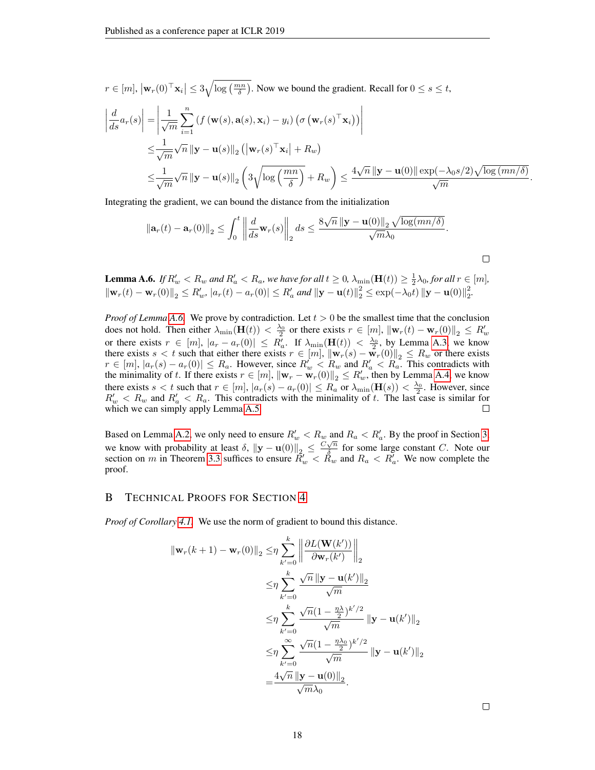$r \in [m], |\mathbf{w}_r(0)^\top \mathbf{x}_i| \leq 3\sqrt{\log(\frac{mn}{\delta})}$ . Now we bound the gradient. Recall for  $0 \leq s \leq t$ ,

$$
\begin{split}\n\left| \frac{d}{ds} a_r(s) \right| &= \left| \frac{1}{\sqrt{m}} \sum_{i=1}^n \left( f\left(\mathbf{w}(s), \mathbf{a}(s), \mathbf{x}_i\right) - y_i \right) \left( \sigma\left(\mathbf{w}_r(s)^\top \mathbf{x}_i\right) \right) \right| \\
&\leq \frac{1}{\sqrt{m}} \sqrt{n} \left\| \mathbf{y} - \mathbf{u}(s) \right\|_2 \left( \left| \mathbf{w}_r(s)^\top \mathbf{x}_i \right| + R_w \right) \\
&\leq \frac{1}{\sqrt{m}} \sqrt{n} \left\| \mathbf{y} - \mathbf{u}(s) \right\|_2 \left( 3 \sqrt{\log\left(\frac{mn}{\delta}\right)} + R_w \right) \leq \frac{4\sqrt{n} \left\| \mathbf{y} - \mathbf{u}(0) \right\| \exp(-\lambda_0 s/2) \sqrt{\log\left(\frac{mn}{\delta}\right)}}{\sqrt{m}}\n\end{split}
$$

Integrating the gradient, we can bound the distance from the initialization

$$
\left\|\mathbf{a}_r(t)-\mathbf{a}_r(0)\right\|_2 \leq \int_0^t \left\|\frac{d}{ds}\mathbf{w}_r(s)\right\|_2 ds \leq \frac{8\sqrt{n}\left\|\mathbf{y}-\mathbf{u}(0)\right\|_2\sqrt{\log(mn/\delta)}}{\sqrt{m}\lambda_0}.
$$

<span id="page-17-0"></span>**Lemma A.6.** If  $R'_w < R_w$  and  $R'_a < R_a$ , we have for all  $t \ge 0$ ,  $\lambda_{\min}(\mathbf{H}(t)) \ge \frac{1}{2}\lambda_0$ , for all  $r \in [m]$ ,  $\|\mathbf{w}_r(t) - \mathbf{w}_r(0)\|_2 \le R'_w$ ,  $|a_r(t) - a_r(0)| \le R'_a$  and  $\|\mathbf{y} - \mathbf{u}(t)\|_2^2 \le \exp(-\lambda_0 t) \|\mathbf{y} - \mathbf{u}(0)\|_2^2$ .

*Proof of Lemma [A.6.](#page-17-0)* We prove by contradiction. Let  $t > 0$  be the smallest time that the conclusion does not hold. Then either  $\lambda_{\min}(\mathbf{H}(t)) < \frac{\lambda_0}{2}$  or there exists  $r \in [m]$ ,  $\|\mathbf{w}_r(t) - \mathbf{w}_r(0)\|_2 \le R'_w$ or there exists  $r \in [m]$ ,  $|a_r - a_r(0)| \leq R'_a$ . If  $\lambda_{\min}(\mathbf{H}(t)) < \frac{\lambda_0}{2}$ , by Lemma [A.3,](#page-16-0) we know there exists  $s < t$  such that either there exists  $r \in [m]$ ,  $\|\mathbf{w}_r(s) - \mathbf{w}_r(0)\|_2 \le R_w$  or there exists  $r \in [m], |a_r(s) - a_r(0)| \le R_a$ . However, since  $R_w' < R_w$  and  $R_a' < R_a$ . This contradicts with the minimality of t. If there exists  $r \in [m]$ ,  $\|\mathbf{w}_r - \mathbf{w}_r(0)\|_2 \le R'_w$ , then by Lemma [A.4,](#page-16-1) we know there exists  $s < t$  such that  $r \in [m]$ ,  $|a_r(s) - a_r(0)| \le R_a$  or  $\lambda_{\min}(\mathbf{H}(s)) < \frac{\lambda_0}{2}$ . However, since  $R'_w < R_w$  and  $R'_a < R_a$ . This contradicts with the minimality of t. The last case is similar for which we can simply apply Lemma [A.5.](#page-16-2)

Based on Lemma [A.2,](#page-15-0) we only need to ensure  $R'_w < R_w$  and  $R_a < R'_a$ . By the proof in Section [3,](#page-3-3) we know with probability at least  $\delta$ ,  $\|\mathbf{y} - \mathbf{u}(0)\|_2 \leq \frac{C\sqrt{n}}{\delta}$  $\frac{\sqrt{n}}{2}$  for some large constant C. Note our section on m in Theorem [3.3](#page-6-1) suffices to ensure  $\tilde{R}'_w < \tilde{R}_w$  and  $R_a < R'_a$ . We now complete the proof.

## B TECHNICAL PROOFS FOR SECTION [4](#page-7-4)

*Proof of Corollary [4.1.](#page-7-2)* We use the norm of gradient to bound this distance.

$$
\|\mathbf{w}_r(k+1) - \mathbf{w}_r(0)\|_2 \leq \eta \sum_{k'=0}^k \left\| \frac{\partial L(\mathbf{W}(k'))}{\partial \mathbf{w}_r(k')} \right\|_2
$$
  
\n
$$
\leq \eta \sum_{k'=0}^k \frac{\sqrt{n} \|\mathbf{y} - \mathbf{u}(k')\|_2}{\sqrt{m}}
$$
  
\n
$$
\leq \eta \sum_{k'=0}^k \frac{\sqrt{n} (1 - \frac{\eta \lambda_0}{2})^{k'/2}}{\sqrt{m}} \|\mathbf{y} - \mathbf{u}(k')\|_2
$$
  
\n
$$
\leq \eta \sum_{k'=0}^\infty \frac{\sqrt{n} (1 - \frac{\eta \lambda_0}{2})^{k'/2}}{\sqrt{m}} \|\mathbf{y} - \mathbf{u}(k')\|_2
$$
  
\n
$$
= \frac{4\sqrt{n} \|\mathbf{y} - \mathbf{u}(0)\|_2}{\sqrt{m} \lambda_0}.
$$

.

 $\Box$